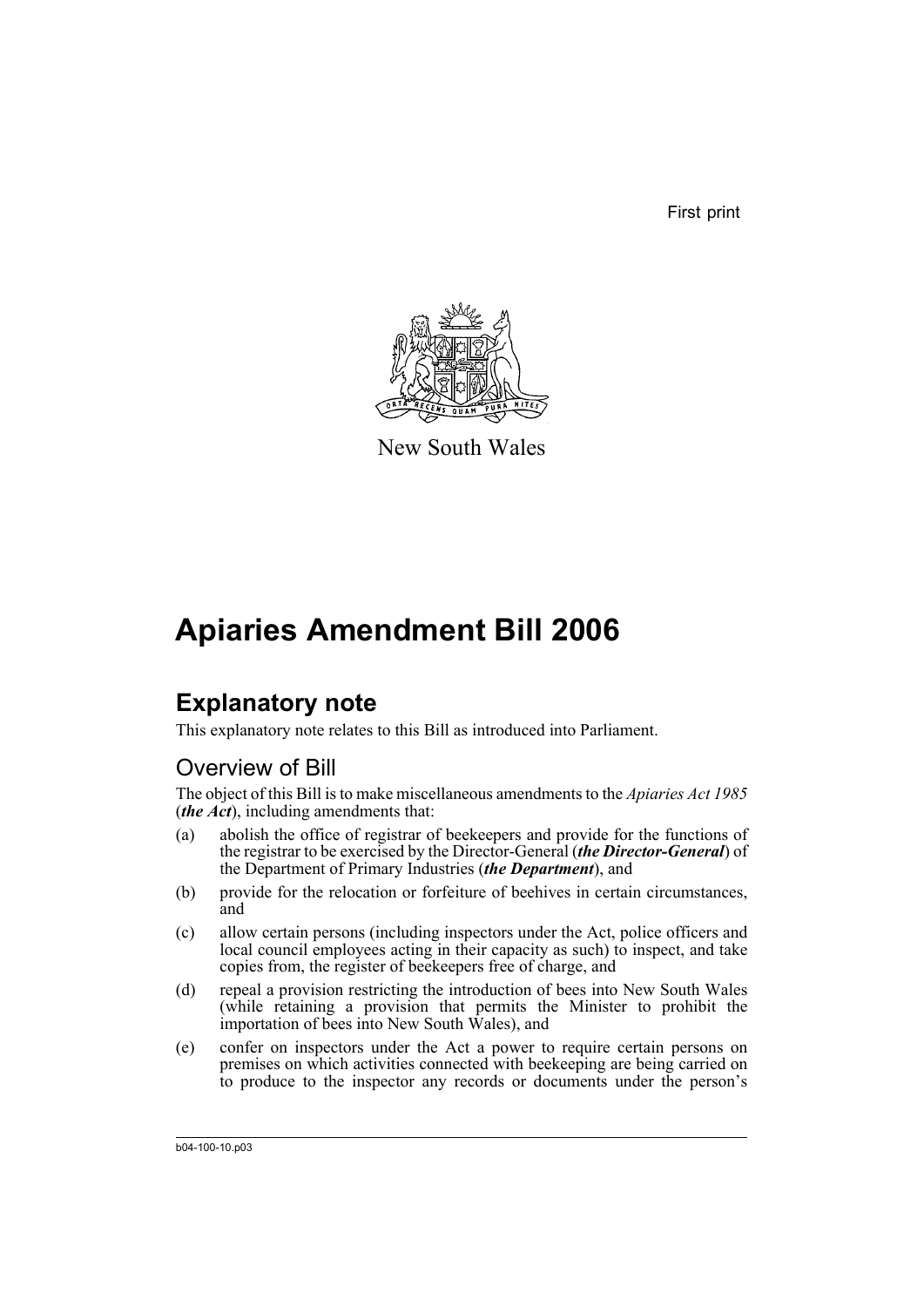First print



New South Wales

# **Apiaries Amendment Bill 2006**

# **Explanatory note**

This explanatory note relates to this Bill as introduced into Parliament.

## Overview of Bill

The object of this Bill is to make miscellaneous amendments to the *Apiaries Act 1985* (*the Act*), including amendments that:

- (a) abolish the office of registrar of beekeepers and provide for the functions of the registrar to be exercised by the Director-General (*the Director-General*) of the Department of Primary Industries (*the Department*), and
- (b) provide for the relocation or forfeiture of beehives in certain circumstances, and
- (c) allow certain persons (including inspectors under the Act, police officers and local council employees acting in their capacity as such) to inspect, and take copies from, the register of beekeepers free of charge, and
- (d) repeal a provision restricting the introduction of bees into New South Wales (while retaining a provision that permits the Minister to prohibit the importation of bees into New South Wales), and
- (e) confer on inspectors under the Act a power to require certain persons on premises on which activities connected with beekeeping are being carried on to produce to the inspector any records or documents under the person's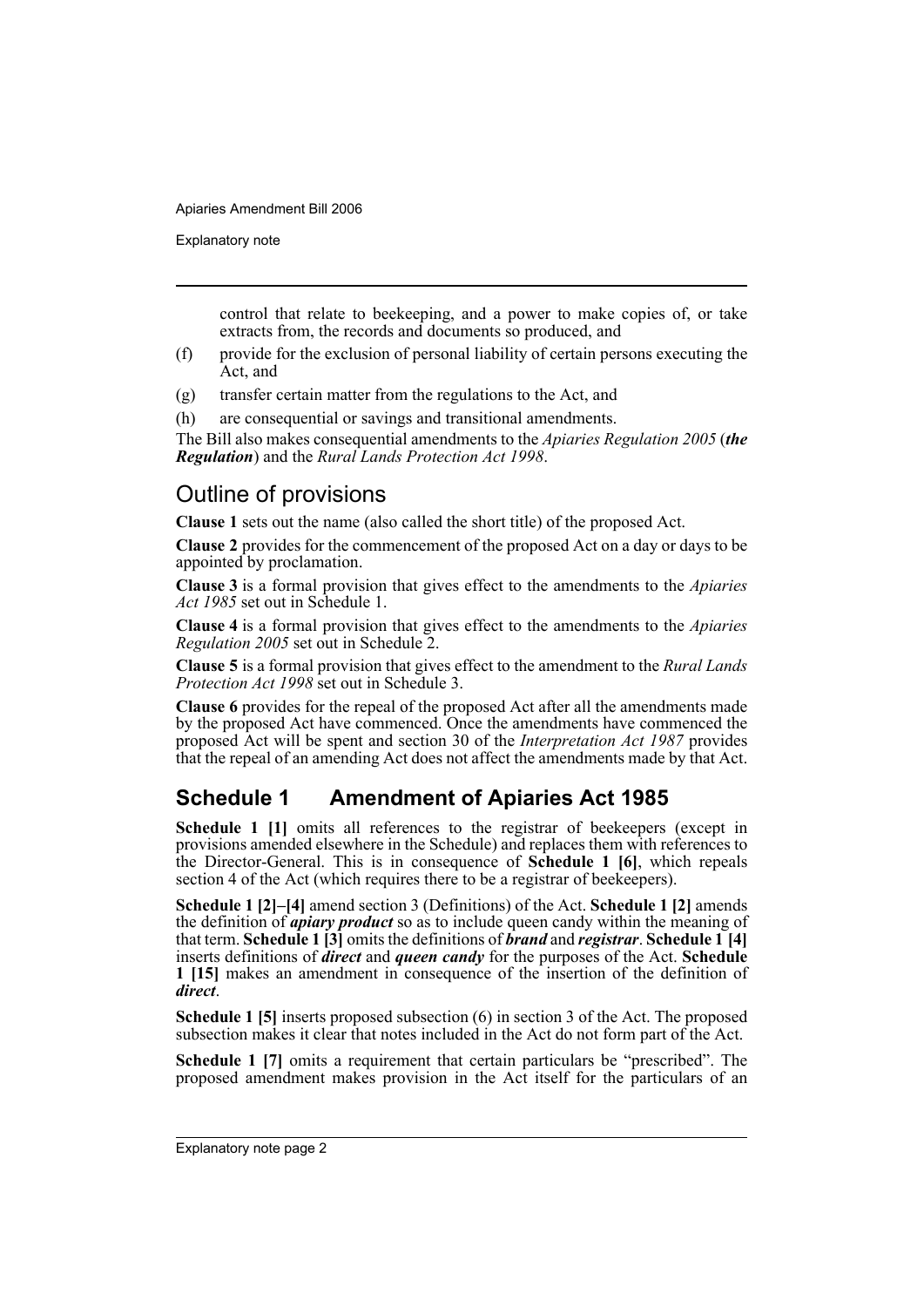Explanatory note

control that relate to beekeeping, and a power to make copies of, or take extracts from, the records and documents so produced, and

- (f) provide for the exclusion of personal liability of certain persons executing the Act, and
- (g) transfer certain matter from the regulations to the Act, and
- (h) are consequential or savings and transitional amendments.

The Bill also makes consequential amendments to the *Apiaries Regulation 2005* (*the Regulation*) and the *Rural Lands Protection Act 1998*.

### Outline of provisions

**Clause 1** sets out the name (also called the short title) of the proposed Act.

**Clause 2** provides for the commencement of the proposed Act on a day or days to be appointed by proclamation.

**Clause 3** is a formal provision that gives effect to the amendments to the *Apiaries Act 1985* set out in Schedule 1.

**Clause 4** is a formal provision that gives effect to the amendments to the *Apiaries Regulation 2005* set out in Schedule 2.

**Clause 5** is a formal provision that gives effect to the amendment to the *Rural Lands Protection Act 1998* set out in Schedule 3.

**Clause 6** provides for the repeal of the proposed Act after all the amendments made by the proposed Act have commenced. Once the amendments have commenced the proposed Act will be spent and section 30 of the *Interpretation Act 1987* provides that the repeal of an amending Act does not affect the amendments made by that Act.

## **Schedule 1 Amendment of Apiaries Act 1985**

**Schedule 1 [1]** omits all references to the registrar of beekeepers (except in provisions amended elsewhere in the Schedule) and replaces them with references to the Director-General. This is in consequence of **Schedule 1 [6]**, which repeals section 4 of the Act (which requires there to be a registrar of beekeepers).

**Schedule 1 [2]–[4]** amend section 3 (Definitions) of the Act. **Schedule 1 [2]** amends the definition of *apiary product* so as to include queen candy within the meaning of that term. **Schedule 1 [3]** omits the definitions of *brand* and *registrar*. **Schedule 1 [4]** inserts definitions of *direct* and *queen candy* for the purposes of the Act. **Schedule 1 [15]** makes an amendment in consequence of the insertion of the definition of *direct*.

**Schedule 1 [5]** inserts proposed subsection (6) in section 3 of the Act. The proposed subsection makes it clear that notes included in the Act do not form part of the Act.

**Schedule 1 [7]** omits a requirement that certain particulars be "prescribed". The proposed amendment makes provision in the Act itself for the particulars of an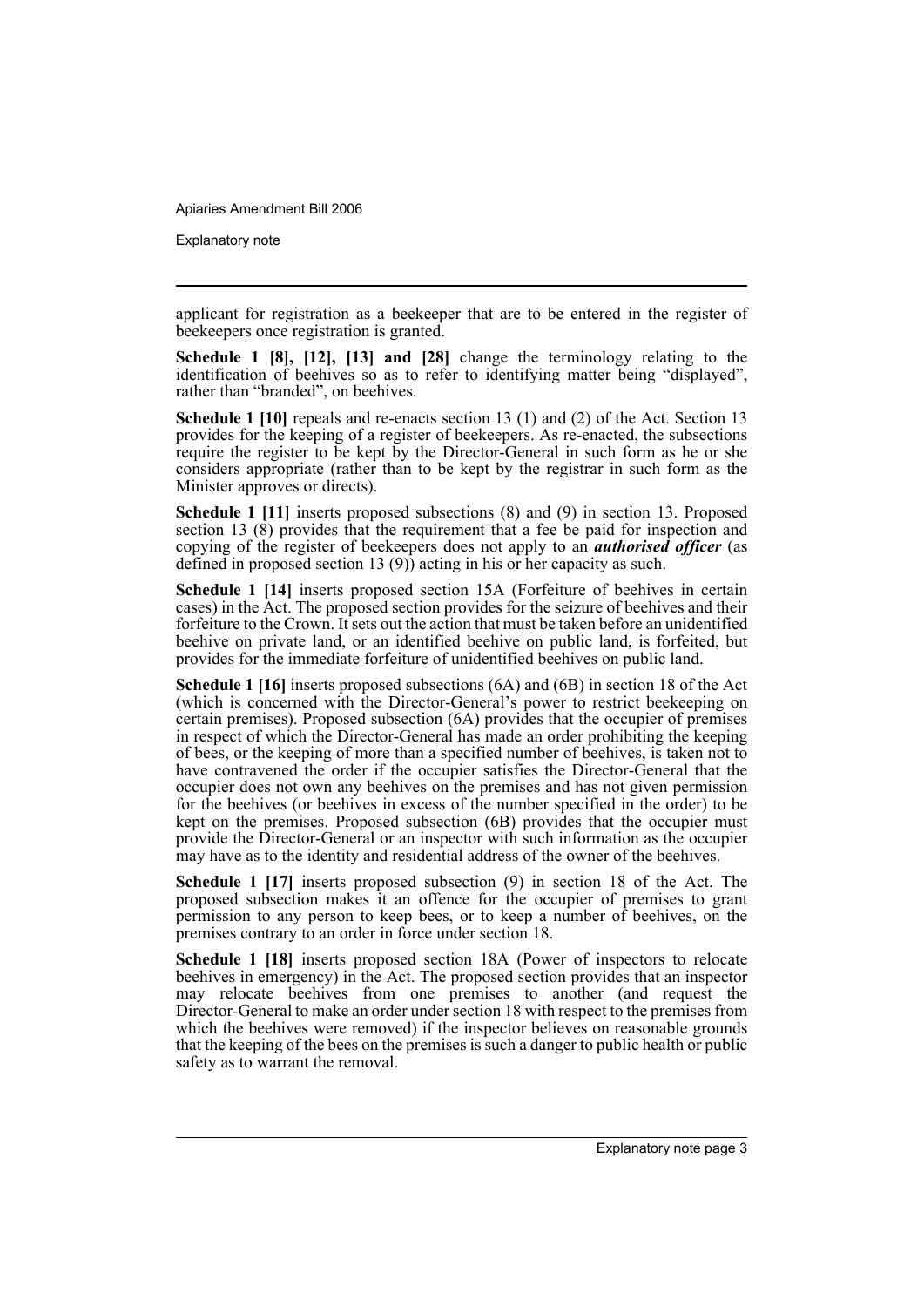Explanatory note

applicant for registration as a beekeeper that are to be entered in the register of beekeepers once registration is granted.

**Schedule 1 [8], [12], [13] and [28]** change the terminology relating to the identification of beehives so as to refer to identifying matter being "displayed", rather than "branded", on beehives.

**Schedule 1 [10]** repeals and re-enacts section 13 (1) and (2) of the Act. Section 13 provides for the keeping of a register of beekeepers. As re-enacted, the subsections require the register to be kept by the Director-General in such form as he or she considers appropriate (rather than to be kept by the registrar in such form as the Minister approves or directs).

**Schedule 1 [11]** inserts proposed subsections (8) and (9) in section 13. Proposed section 13 (8) provides that the requirement that a fee be paid for inspection and copying of the register of beekeepers does not apply to an *authorised officer* (as defined in proposed section 13 (9)) acting in his or her capacity as such.

**Schedule 1 [14]** inserts proposed section 15A (Forfeiture of beehives in certain cases) in the Act. The proposed section provides for the seizure of beehives and their forfeiture to the Crown. It sets out the action that must be taken before an unidentified beehive on private land, or an identified beehive on public land, is forfeited, but provides for the immediate forfeiture of unidentified beehives on public land.

**Schedule 1 [16]** inserts proposed subsections (6A) and (6B) in section 18 of the Act (which is concerned with the Director-General's power to restrict beekeeping on certain premises). Proposed subsection (6A) provides that the occupier of premises in respect of which the Director-General has made an order prohibiting the keeping of bees, or the keeping of more than a specified number of beehives, is taken not to have contravened the order if the occupier satisfies the Director-General that the occupier does not own any beehives on the premises and has not given permission for the beehives (or beehives in excess of the number specified in the order) to be kept on the premises. Proposed subsection (6B) provides that the occupier must provide the Director-General or an inspector with such information as the occupier may have as to the identity and residential address of the owner of the beehives.

**Schedule 1 [17]** inserts proposed subsection (9) in section 18 of the Act. The proposed subsection makes it an offence for the occupier of premises to grant permission to any person to keep bees, or to keep a number of beehives, on the premises contrary to an order in force under section 18.

**Schedule 1 [18]** inserts proposed section 18A (Power of inspectors to relocate beehives in emergency) in the Act. The proposed section provides that an inspector may relocate beehives from one premises to another (and request the Director-General to make an order under section 18 with respect to the premises from which the beehives were removed) if the inspector believes on reasonable grounds that the keeping of the bees on the premises is such a danger to public health or public safety as to warrant the removal.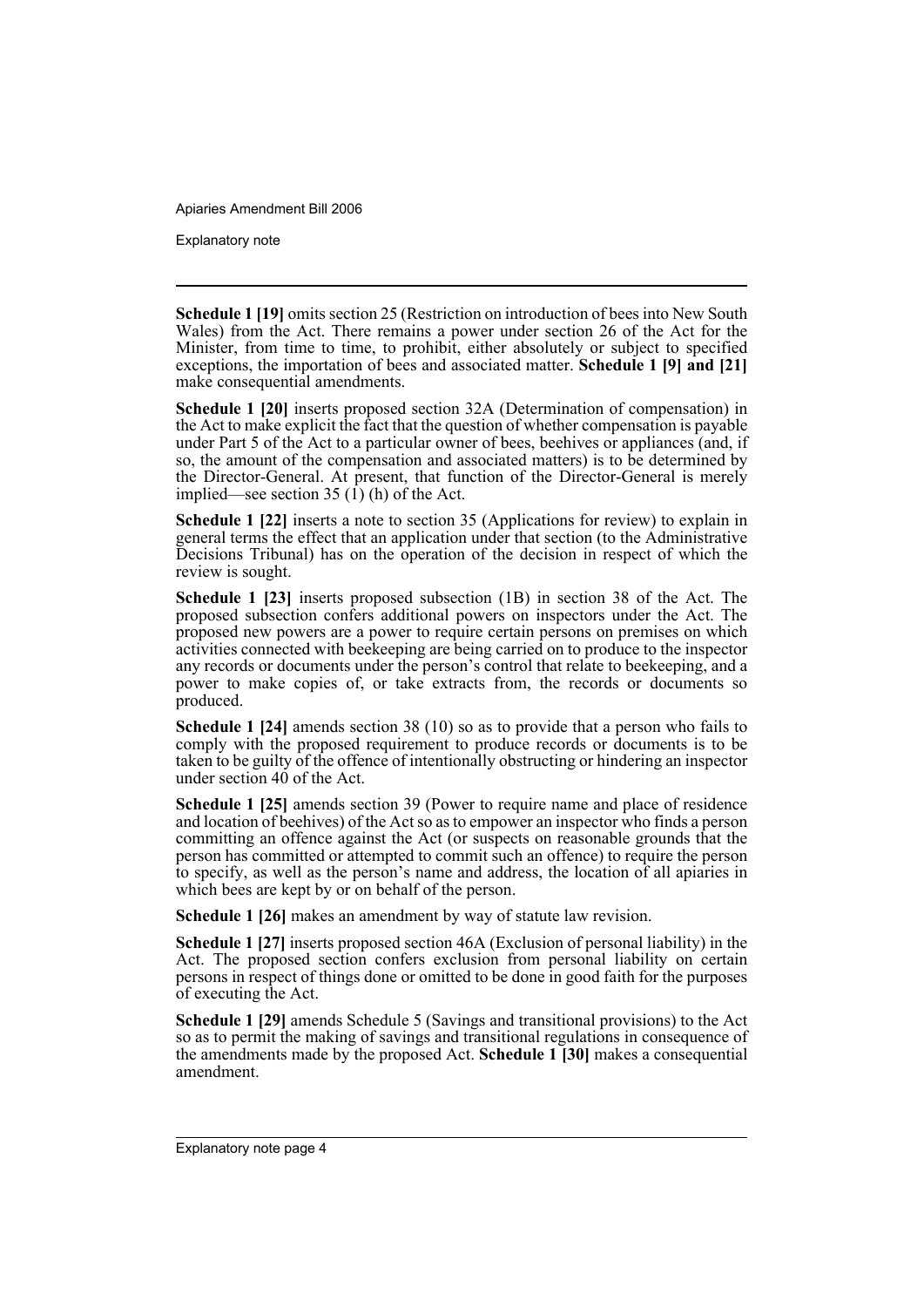Explanatory note

**Schedule 1 [19]** omits section 25 (Restriction on introduction of bees into New South Wales) from the Act. There remains a power under section 26 of the Act for the Minister, from time to time, to prohibit, either absolutely or subject to specified exceptions, the importation of bees and associated matter. **Schedule 1 [9] and [21]** make consequential amendments.

**Schedule 1 [20]** inserts proposed section 32A (Determination of compensation) in the Act to make explicit the fact that the question of whether compensation is payable under Part 5 of the Act to a particular owner of bees, beehives or appliances (and, if so, the amount of the compensation and associated matters) is to be determined by the Director-General. At present, that function of the Director-General is merely implied—see section 35 (1) (h) of the Act.

**Schedule 1 [22]** inserts a note to section 35 (Applications for review) to explain in general terms the effect that an application under that section (to the Administrative Decisions Tribunal) has on the operation of the decision in respect of which the review is sought.

**Schedule 1 [23]** inserts proposed subsection (1B) in section 38 of the Act. The proposed subsection confers additional powers on inspectors under the Act. The proposed new powers are a power to require certain persons on premises on which activities connected with beekeeping are being carried on to produce to the inspector any records or documents under the person's control that relate to beekeeping, and a power to make copies of, or take extracts from, the records or documents so produced.

**Schedule 1 [24]** amends section 38 (10) so as to provide that a person who fails to comply with the proposed requirement to produce records or documents is to be taken to be guilty of the offence of intentionally obstructing or hindering an inspector under section  $40$  of the Act.

**Schedule 1 [25]** amends section 39 (Power to require name and place of residence and location of beehives) of the Act so as to empower an inspector who finds a person committing an offence against the Act (or suspects on reasonable grounds that the person has committed or attempted to commit such an offence) to require the person to specify, as well as the person's name and address, the location of all apiaries in which bees are kept by or on behalf of the person.

**Schedule 1 [26]** makes an amendment by way of statute law revision.

**Schedule 1 [27]** inserts proposed section 46A (Exclusion of personal liability) in the Act. The proposed section confers exclusion from personal liability on certain persons in respect of things done or omitted to be done in good faith for the purposes of executing the Act.

**Schedule 1 [29]** amends Schedule 5 (Savings and transitional provisions) to the Act so as to permit the making of savings and transitional regulations in consequence of the amendments made by the proposed Act. **Schedule 1 [30]** makes a consequential amendment.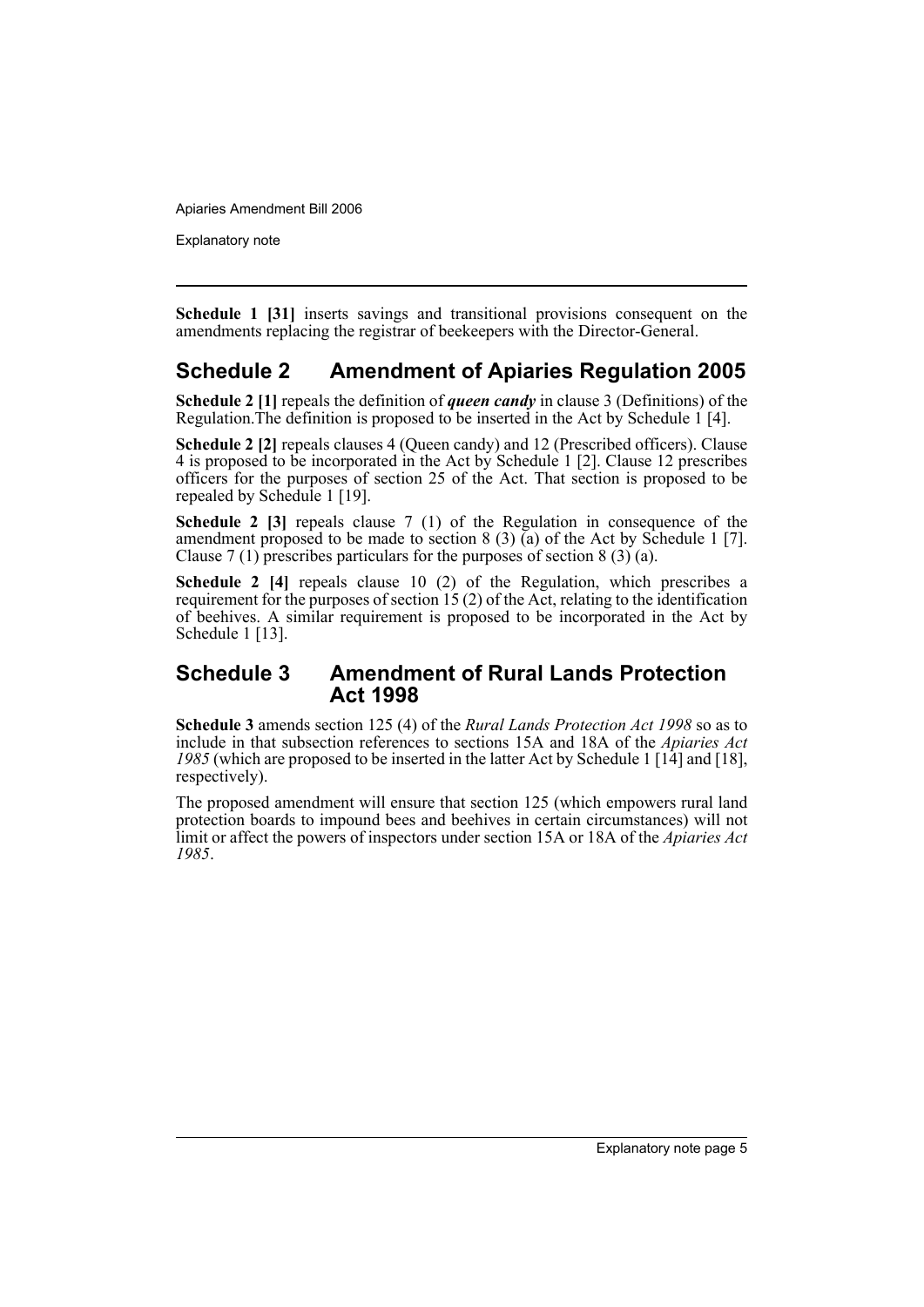Explanatory note

**Schedule 1 [31]** inserts savings and transitional provisions consequent on the amendments replacing the registrar of beekeepers with the Director-General.

### **Schedule 2 Amendment of Apiaries Regulation 2005**

**Schedule 2 [1]** repeals the definition of *queen candy* in clause 3 (Definitions) of the Regulation. The definition is proposed to be inserted in the Act by Schedule  $\hat{1}$  [4].

**Schedule 2 [2]** repeals clauses 4 (Queen candy) and 12 (Prescribed officers). Clause 4 is proposed to be incorporated in the Act by Schedule 1 [2]. Clause 12 prescribes officers for the purposes of section 25 of the Act. That section is proposed to be repealed by Schedule 1 [19].

**Schedule 2 [3]** repeals clause 7 (1) of the Regulation in consequence of the amendment proposed to be made to section  $8(3)(a)$  of the Act by Schedule 1 [7]. Clause 7 (1) prescribes particulars for the purposes of section 8 (3) (a).

**Schedule 2 [4]** repeals clause 10 (2) of the Regulation, which prescribes a requirement for the purposes of section 15 (2) of the Act, relating to the identification of beehives. A similar requirement is proposed to be incorporated in the Act by Schedule 1 [13].

### **Schedule 3 Amendment of Rural Lands Protection Act 1998**

**Schedule 3** amends section 125 (4) of the *Rural Lands Protection Act 1998* so as to include in that subsection references to sections 15A and 18A of the *Apiaries Act 1985* (which are proposed to be inserted in the latter Act by Schedule 1 [14] and [18], respectively).

The proposed amendment will ensure that section 125 (which empowers rural land protection boards to impound bees and beehives in certain circumstances) will not limit or affect the powers of inspectors under section 15A or 18A of the *Apiaries Act 1985*.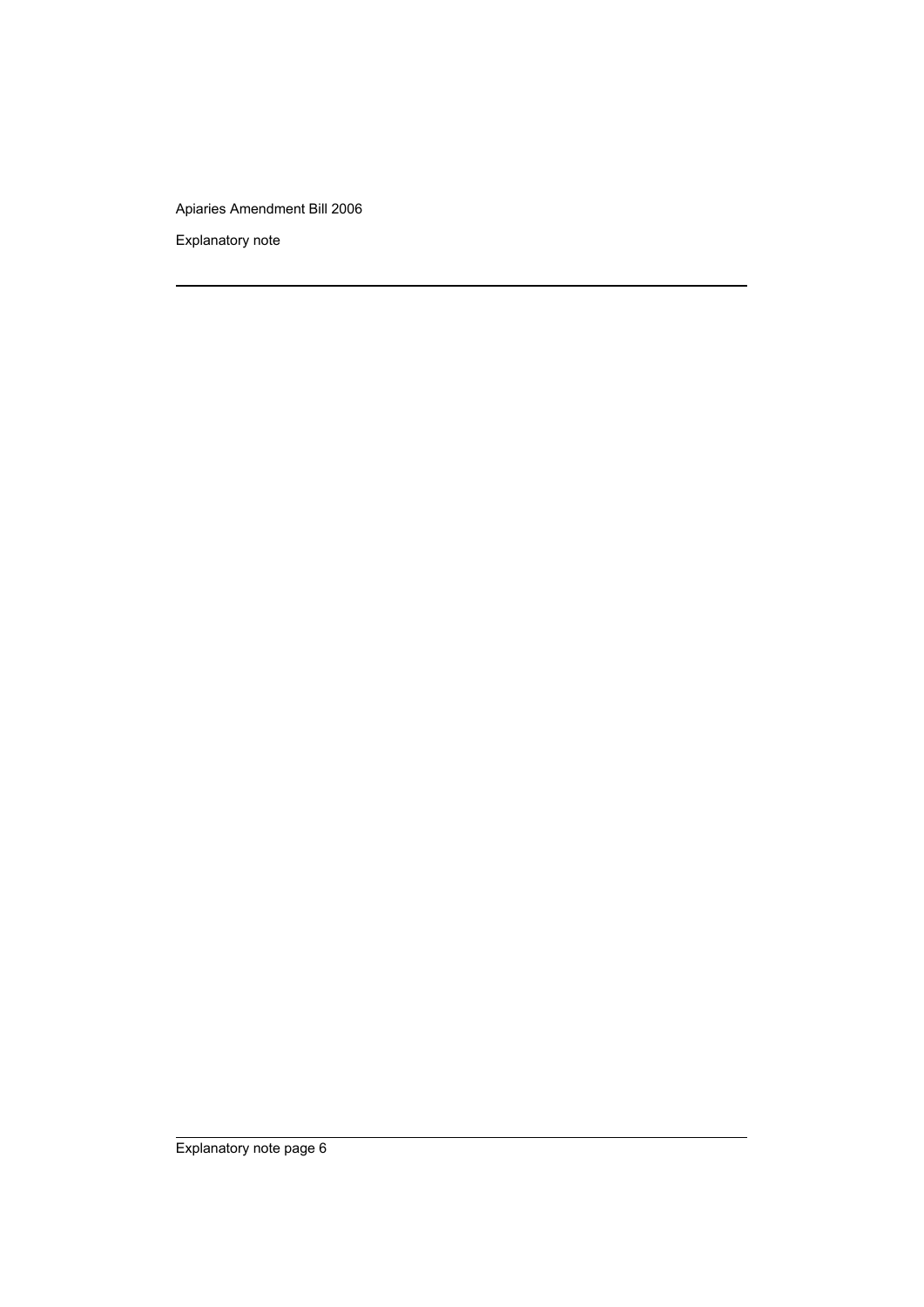Explanatory note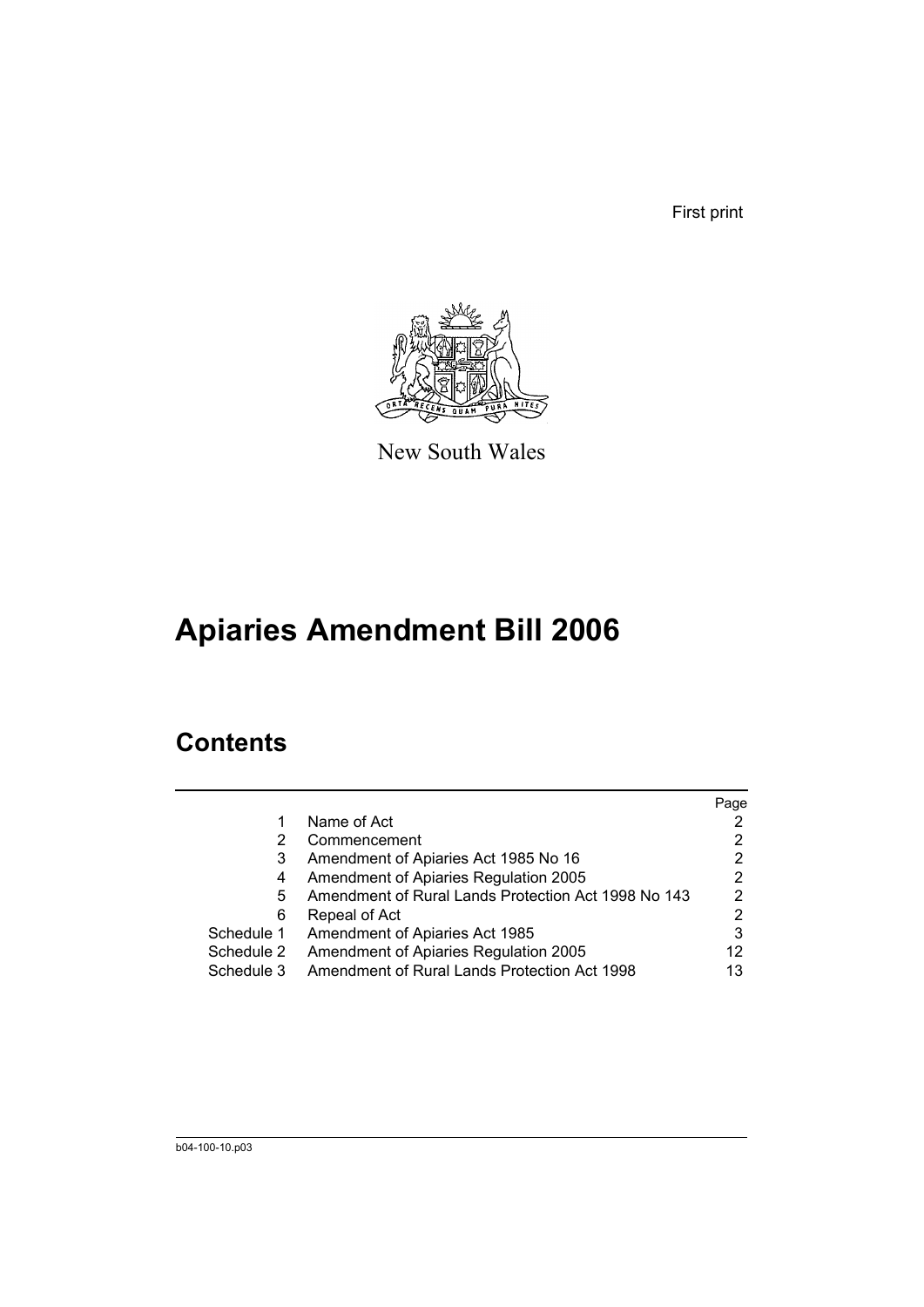First print



New South Wales

# **Apiaries Amendment Bill 2006**

# **Contents**

|            |                                                     | Page |
|------------|-----------------------------------------------------|------|
|            | Name of Act                                         |      |
| 2          | Commencement                                        |      |
| 3          | Amendment of Apiaries Act 1985 No 16                |      |
| 4          | Amendment of Apiaries Regulation 2005               | 2    |
| 5          | Amendment of Rural Lands Protection Act 1998 No 143 | 2    |
| 6          | Repeal of Act                                       |      |
| Schedule 1 | Amendment of Apiaries Act 1985                      | 3    |
| Schedule 2 | Amendment of Apiaries Regulation 2005               | 12   |
| Schedule 3 | Amendment of Rural Lands Protection Act 1998        | 13   |
|            |                                                     |      |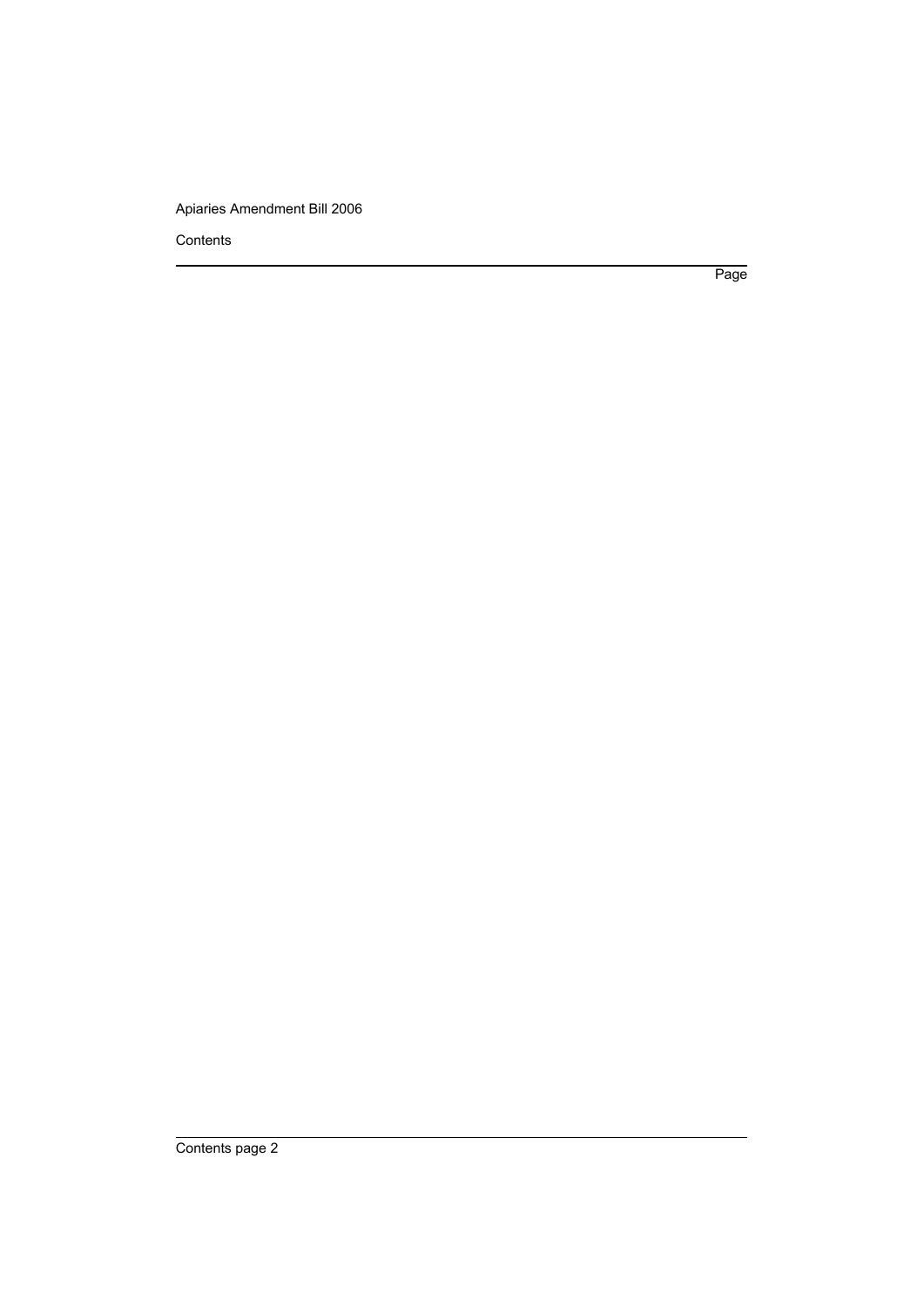Contents

Page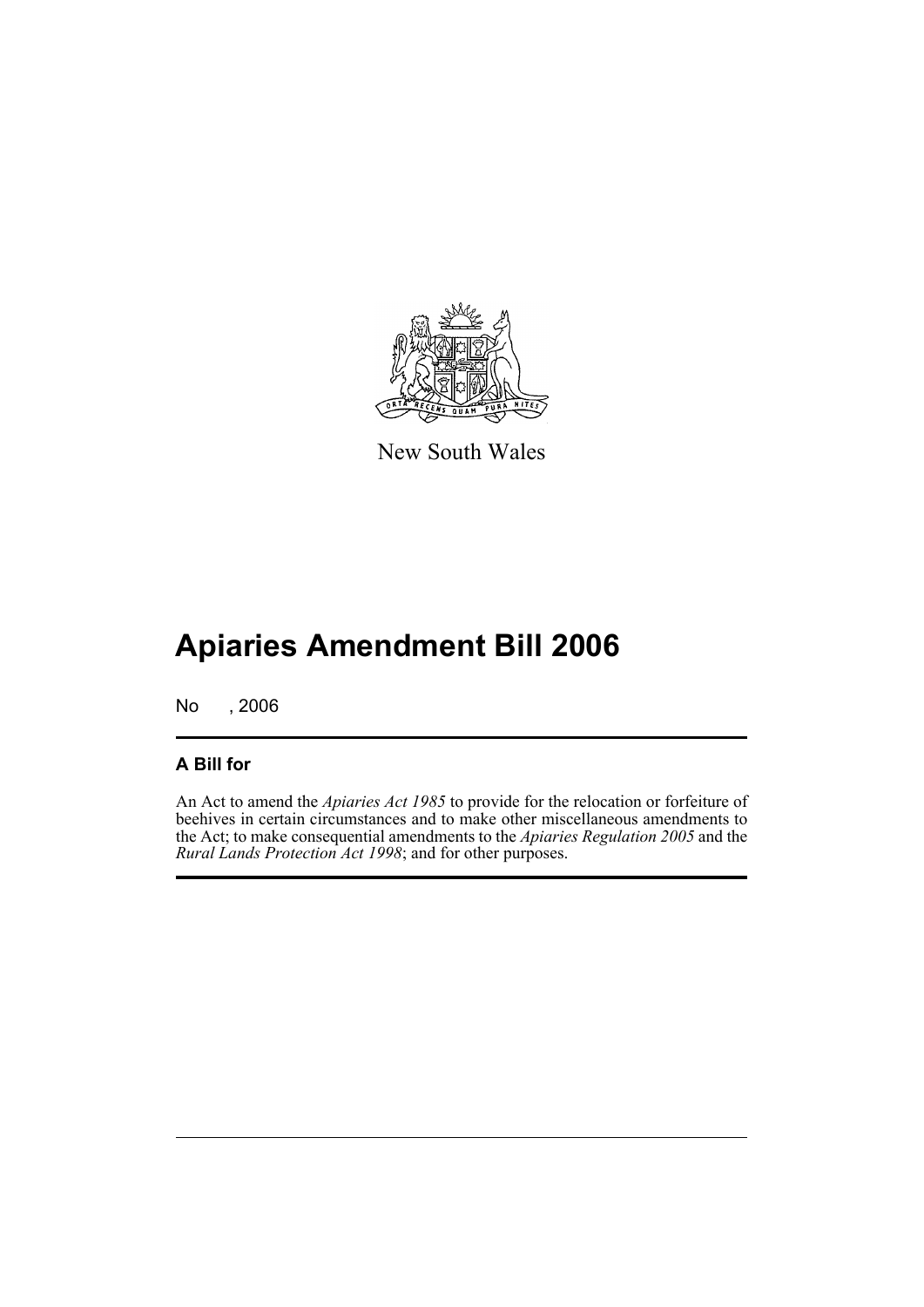

New South Wales

# **Apiaries Amendment Bill 2006**

No , 2006

### **A Bill for**

An Act to amend the *Apiaries Act 1985* to provide for the relocation or forfeiture of beehives in certain circumstances and to make other miscellaneous amendments to the Act; to make consequential amendments to the *Apiaries Regulation 2005* and the *Rural Lands Protection Act 1998*; and for other purposes.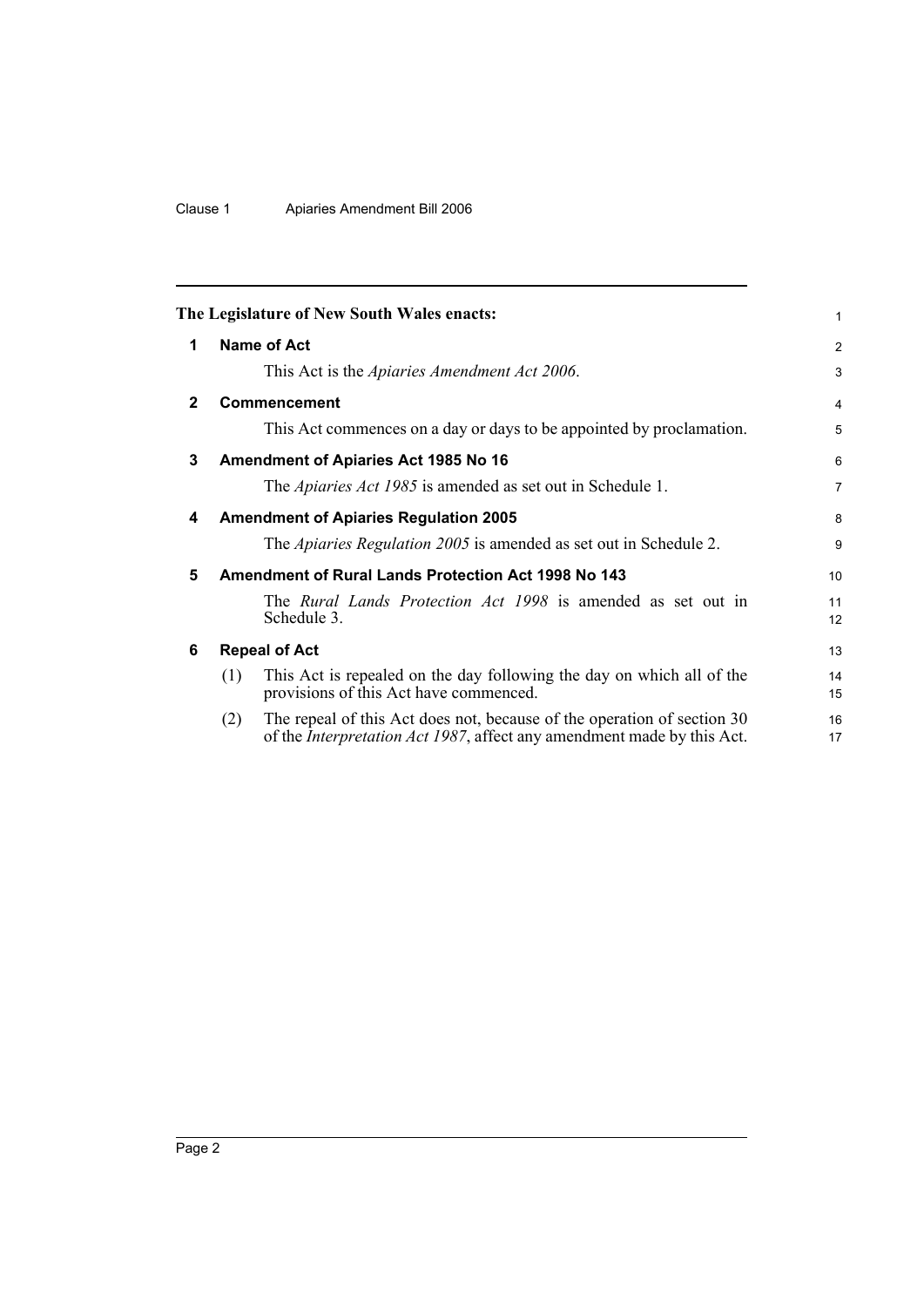#### Clause 1 Apiaries Amendment Bill 2006

<span id="page-9-5"></span><span id="page-9-4"></span><span id="page-9-3"></span><span id="page-9-2"></span><span id="page-9-1"></span><span id="page-9-0"></span>

|              |             | The Legislature of New South Wales enacts:                                                                                                                | 1              |  |  |  |
|--------------|-------------|-----------------------------------------------------------------------------------------------------------------------------------------------------------|----------------|--|--|--|
| 1            | Name of Act |                                                                                                                                                           |                |  |  |  |
|              |             | This Act is the <i>Apiaries Amendment Act 2006</i> .                                                                                                      | 3              |  |  |  |
| $\mathbf{2}$ |             | <b>Commencement</b>                                                                                                                                       | $\overline{4}$ |  |  |  |
|              |             | This Act commences on a day or days to be appointed by proclamation.                                                                                      | 5              |  |  |  |
| 3            |             | <b>Amendment of Apiaries Act 1985 No 16</b>                                                                                                               | 6              |  |  |  |
|              |             | The <i>Apiaries Act 1985</i> is amended as set out in Schedule 1.                                                                                         | $\overline{7}$ |  |  |  |
| 4            |             | <b>Amendment of Apiaries Regulation 2005</b>                                                                                                              | 8              |  |  |  |
|              |             | The <i>Apiaries Regulation 2005</i> is amended as set out in Schedule 2.                                                                                  | 9              |  |  |  |
| 5            |             | <b>Amendment of Rural Lands Protection Act 1998 No 143</b>                                                                                                | 10             |  |  |  |
|              |             | The Rural Lands Protection Act 1998 is amended as set out in<br>Schedule 3.                                                                               | 11<br>12       |  |  |  |
| 6            |             | <b>Repeal of Act</b>                                                                                                                                      | 13             |  |  |  |
|              | (1)         | This Act is repealed on the day following the day on which all of the<br>provisions of this Act have commenced.                                           | 14<br>15       |  |  |  |
|              | (2)         | The repeal of this Act does not, because of the operation of section 30<br>of the <i>Interpretation Act 1987</i> , affect any amendment made by this Act. | 16<br>17       |  |  |  |
|              |             |                                                                                                                                                           |                |  |  |  |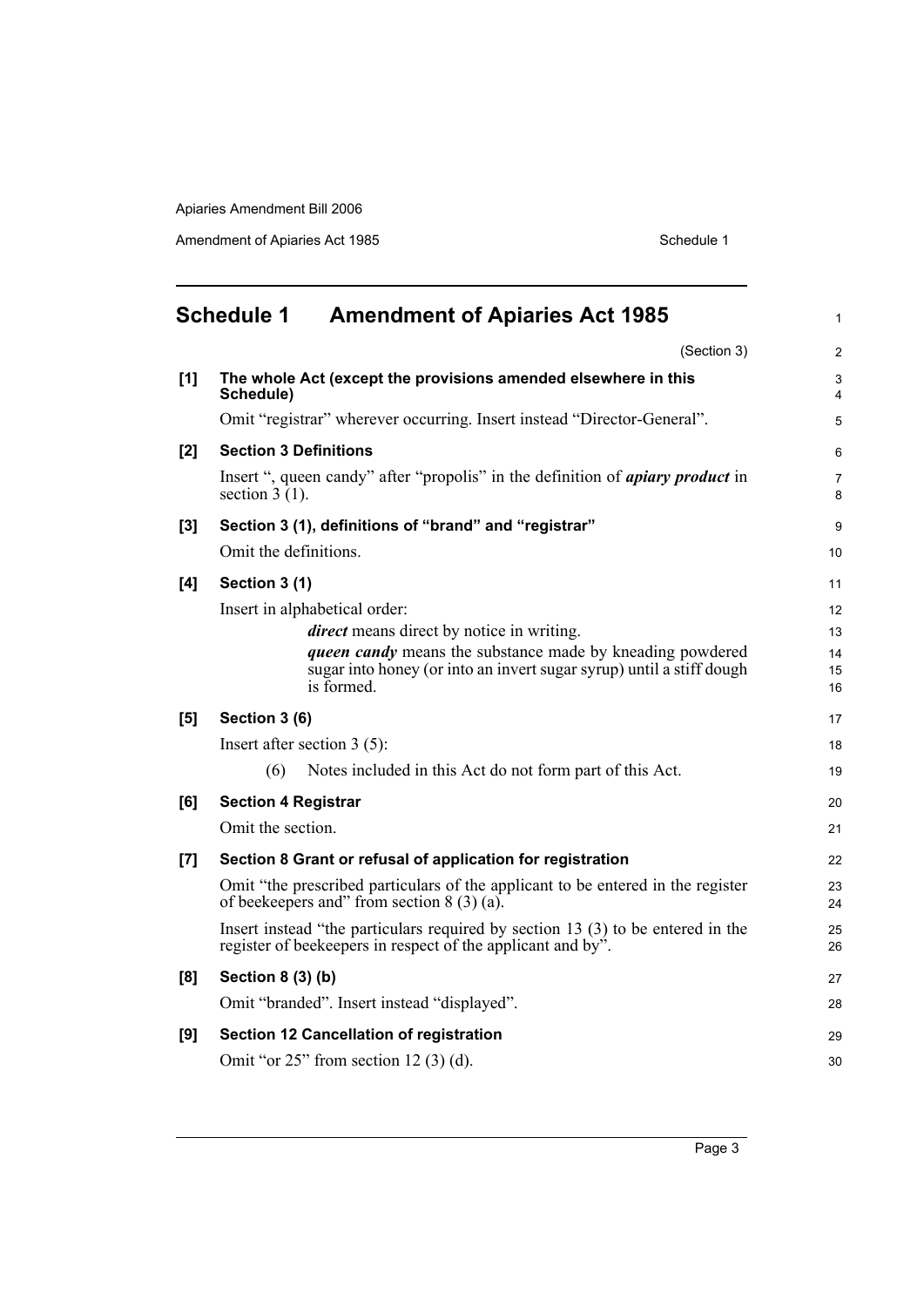<span id="page-10-0"></span>

|     | <b>Schedule 1</b><br><b>Amendment of Apiaries Act 1985</b>                                                                                                                                                                           | 1                          |
|-----|--------------------------------------------------------------------------------------------------------------------------------------------------------------------------------------------------------------------------------------|----------------------------|
|     | (Section 3)                                                                                                                                                                                                                          | $\overline{c}$             |
| [1] | The whole Act (except the provisions amended elsewhere in this<br>Schedule)                                                                                                                                                          | 3<br>4                     |
|     | Omit "registrar" wherever occurring. Insert instead "Director-General".                                                                                                                                                              | 5                          |
| [2] | <b>Section 3 Definitions</b>                                                                                                                                                                                                         | 6                          |
|     | Insert ", queen candy" after "propolis" in the definition of <i>apiary product</i> in<br>section $3(1)$ .                                                                                                                            | 7<br>8                     |
| [3] | Section 3 (1), definitions of "brand" and "registrar"                                                                                                                                                                                | 9                          |
|     | Omit the definitions.                                                                                                                                                                                                                | 10                         |
| [4] | Section 3 (1)                                                                                                                                                                                                                        | 11                         |
|     | Insert in alphabetical order:<br><i>direct</i> means direct by notice in writing.<br>queen candy means the substance made by kneading powdered<br>sugar into honey (or into an invert sugar syrup) until a stiff dough<br>is formed. | 12<br>13<br>14<br>15<br>16 |
| [5] | Section 3 (6)                                                                                                                                                                                                                        | 17                         |
|     | Insert after section $3(5)$ :                                                                                                                                                                                                        | 18                         |
|     | Notes included in this Act do not form part of this Act.<br>(6)                                                                                                                                                                      | 19                         |
| [6] | <b>Section 4 Registrar</b>                                                                                                                                                                                                           | 20                         |
|     | Omit the section.                                                                                                                                                                                                                    | 21                         |
| [7] | Section 8 Grant or refusal of application for registration                                                                                                                                                                           | 22                         |
|     | Omit "the prescribed particulars of the applicant to be entered in the register<br>of beekeepers and" from section $8(3)(a)$ .                                                                                                       | 23<br>24                   |
|     | Insert instead "the particulars required by section 13 (3) to be entered in the<br>register of beekeepers in respect of the applicant and by".                                                                                       | 25<br>26                   |
| [8] | Section 8 (3) (b)                                                                                                                                                                                                                    | 27                         |
|     | Omit "branded". Insert instead "displayed".                                                                                                                                                                                          | 28                         |
| [9] | <b>Section 12 Cancellation of registration</b>                                                                                                                                                                                       | 29                         |
|     | Omit "or $25$ " from section 12 (3) (d).                                                                                                                                                                                             | 30                         |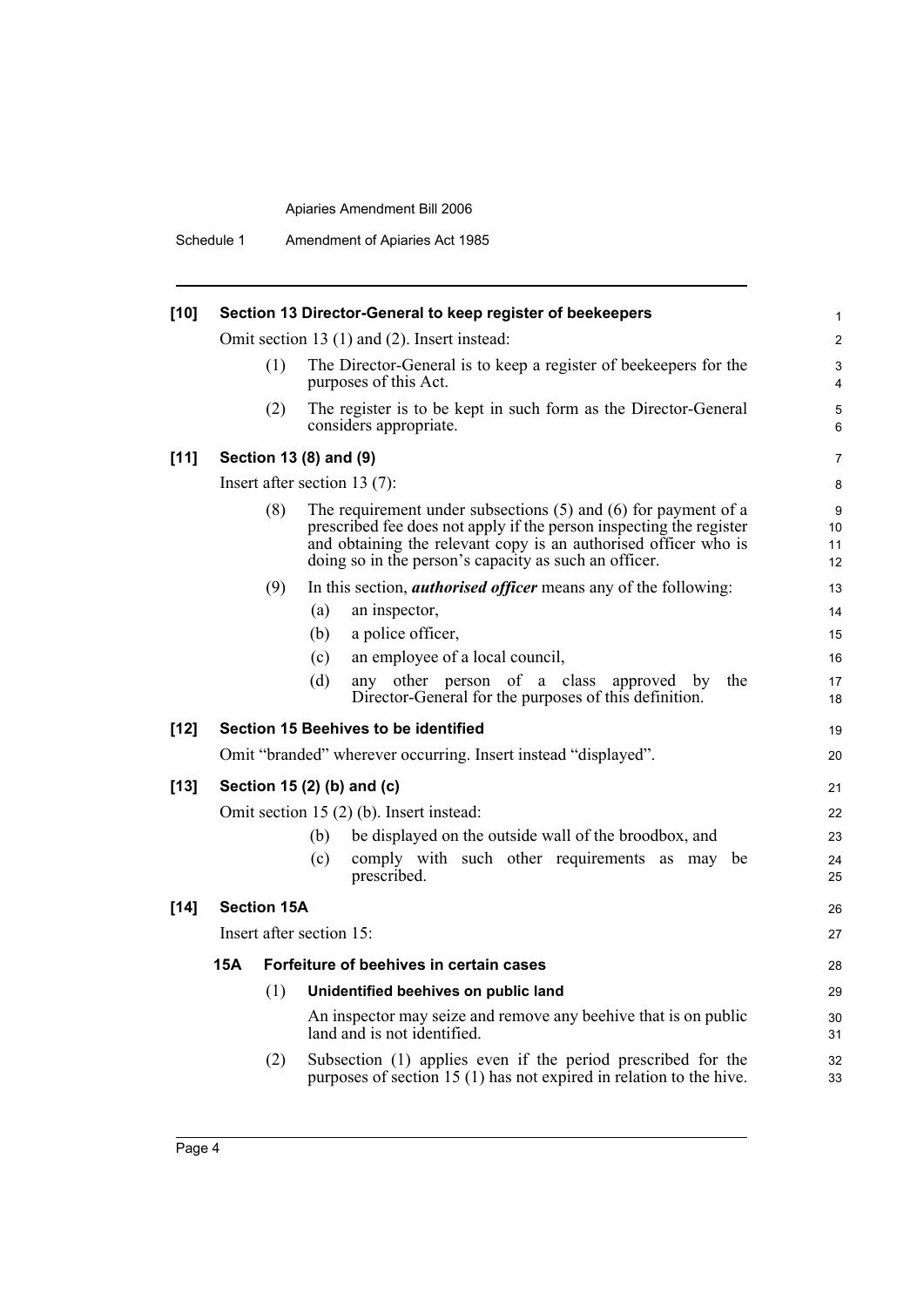Schedule 1 Amendment of Apiaries Act 1985

| $[10]$<br>Section 13 Director-General to keep register of beekeepers |     |               |                                                                                                                                                                                     | 1                                                                                                                                                                                                                                                                                                                                                                                                                                                                                                                                                                                                                                                                                                                                                                                                                                                                                                                                                                                                                                                                                                                                                                                                                                                                                                                                                      |
|----------------------------------------------------------------------|-----|---------------|-------------------------------------------------------------------------------------------------------------------------------------------------------------------------------------|--------------------------------------------------------------------------------------------------------------------------------------------------------------------------------------------------------------------------------------------------------------------------------------------------------------------------------------------------------------------------------------------------------------------------------------------------------------------------------------------------------------------------------------------------------------------------------------------------------------------------------------------------------------------------------------------------------------------------------------------------------------------------------------------------------------------------------------------------------------------------------------------------------------------------------------------------------------------------------------------------------------------------------------------------------------------------------------------------------------------------------------------------------------------------------------------------------------------------------------------------------------------------------------------------------------------------------------------------------|
|                                                                      |     |               |                                                                                                                                                                                     | $\overline{2}$                                                                                                                                                                                                                                                                                                                                                                                                                                                                                                                                                                                                                                                                                                                                                                                                                                                                                                                                                                                                                                                                                                                                                                                                                                                                                                                                         |
|                                                                      | (1) |               |                                                                                                                                                                                     | 3<br>$\overline{4}$                                                                                                                                                                                                                                                                                                                                                                                                                                                                                                                                                                                                                                                                                                                                                                                                                                                                                                                                                                                                                                                                                                                                                                                                                                                                                                                                    |
|                                                                      | (2) |               |                                                                                                                                                                                     | 5<br>6                                                                                                                                                                                                                                                                                                                                                                                                                                                                                                                                                                                                                                                                                                                                                                                                                                                                                                                                                                                                                                                                                                                                                                                                                                                                                                                                                 |
|                                                                      |     |               |                                                                                                                                                                                     | 7                                                                                                                                                                                                                                                                                                                                                                                                                                                                                                                                                                                                                                                                                                                                                                                                                                                                                                                                                                                                                                                                                                                                                                                                                                                                                                                                                      |
|                                                                      |     |               |                                                                                                                                                                                     | 8                                                                                                                                                                                                                                                                                                                                                                                                                                                                                                                                                                                                                                                                                                                                                                                                                                                                                                                                                                                                                                                                                                                                                                                                                                                                                                                                                      |
|                                                                      | (8) |               |                                                                                                                                                                                     | 9<br>10<br>11<br>12                                                                                                                                                                                                                                                                                                                                                                                                                                                                                                                                                                                                                                                                                                                                                                                                                                                                                                                                                                                                                                                                                                                                                                                                                                                                                                                                    |
|                                                                      | (9) |               |                                                                                                                                                                                     | 13                                                                                                                                                                                                                                                                                                                                                                                                                                                                                                                                                                                                                                                                                                                                                                                                                                                                                                                                                                                                                                                                                                                                                                                                                                                                                                                                                     |
|                                                                      |     | an inspector, |                                                                                                                                                                                     | 14                                                                                                                                                                                                                                                                                                                                                                                                                                                                                                                                                                                                                                                                                                                                                                                                                                                                                                                                                                                                                                                                                                                                                                                                                                                                                                                                                     |
|                                                                      |     |               |                                                                                                                                                                                     | 15                                                                                                                                                                                                                                                                                                                                                                                                                                                                                                                                                                                                                                                                                                                                                                                                                                                                                                                                                                                                                                                                                                                                                                                                                                                                                                                                                     |
|                                                                      |     |               |                                                                                                                                                                                     | 16                                                                                                                                                                                                                                                                                                                                                                                                                                                                                                                                                                                                                                                                                                                                                                                                                                                                                                                                                                                                                                                                                                                                                                                                                                                                                                                                                     |
|                                                                      |     |               | the<br>by                                                                                                                                                                           | 17<br>18                                                                                                                                                                                                                                                                                                                                                                                                                                                                                                                                                                                                                                                                                                                                                                                                                                                                                                                                                                                                                                                                                                                                                                                                                                                                                                                                               |
|                                                                      |     |               |                                                                                                                                                                                     | 19                                                                                                                                                                                                                                                                                                                                                                                                                                                                                                                                                                                                                                                                                                                                                                                                                                                                                                                                                                                                                                                                                                                                                                                                                                                                                                                                                     |
|                                                                      |     |               |                                                                                                                                                                                     | 20                                                                                                                                                                                                                                                                                                                                                                                                                                                                                                                                                                                                                                                                                                                                                                                                                                                                                                                                                                                                                                                                                                                                                                                                                                                                                                                                                     |
|                                                                      |     |               |                                                                                                                                                                                     | 21                                                                                                                                                                                                                                                                                                                                                                                                                                                                                                                                                                                                                                                                                                                                                                                                                                                                                                                                                                                                                                                                                                                                                                                                                                                                                                                                                     |
|                                                                      |     |               |                                                                                                                                                                                     | 22                                                                                                                                                                                                                                                                                                                                                                                                                                                                                                                                                                                                                                                                                                                                                                                                                                                                                                                                                                                                                                                                                                                                                                                                                                                                                                                                                     |
|                                                                      |     |               |                                                                                                                                                                                     | 23                                                                                                                                                                                                                                                                                                                                                                                                                                                                                                                                                                                                                                                                                                                                                                                                                                                                                                                                                                                                                                                                                                                                                                                                                                                                                                                                                     |
|                                                                      |     | prescribed.   |                                                                                                                                                                                     | 24<br>25                                                                                                                                                                                                                                                                                                                                                                                                                                                                                                                                                                                                                                                                                                                                                                                                                                                                                                                                                                                                                                                                                                                                                                                                                                                                                                                                               |
|                                                                      |     |               |                                                                                                                                                                                     | 26                                                                                                                                                                                                                                                                                                                                                                                                                                                                                                                                                                                                                                                                                                                                                                                                                                                                                                                                                                                                                                                                                                                                                                                                                                                                                                                                                     |
|                                                                      |     |               |                                                                                                                                                                                     | 27                                                                                                                                                                                                                                                                                                                                                                                                                                                                                                                                                                                                                                                                                                                                                                                                                                                                                                                                                                                                                                                                                                                                                                                                                                                                                                                                                     |
| 15A                                                                  |     |               |                                                                                                                                                                                     | 28                                                                                                                                                                                                                                                                                                                                                                                                                                                                                                                                                                                                                                                                                                                                                                                                                                                                                                                                                                                                                                                                                                                                                                                                                                                                                                                                                     |
|                                                                      |     |               |                                                                                                                                                                                     | 29                                                                                                                                                                                                                                                                                                                                                                                                                                                                                                                                                                                                                                                                                                                                                                                                                                                                                                                                                                                                                                                                                                                                                                                                                                                                                                                                                     |
|                                                                      |     |               |                                                                                                                                                                                     | 30<br>31                                                                                                                                                                                                                                                                                                                                                                                                                                                                                                                                                                                                                                                                                                                                                                                                                                                                                                                                                                                                                                                                                                                                                                                                                                                                                                                                               |
|                                                                      | (2) |               |                                                                                                                                                                                     | 32<br>33                                                                                                                                                                                                                                                                                                                                                                                                                                                                                                                                                                                                                                                                                                                                                                                                                                                                                                                                                                                                                                                                                                                                                                                                                                                                                                                                               |
|                                                                      |     | (1)           | Section 13 (8) and (9)<br>Insert after section 13 $(7)$ :<br>(a)<br>(b)<br>(c)<br>(d)<br>Section 15 (2) (b) and (c)<br>(b)<br>(c)<br><b>Section 15A</b><br>Insert after section 15: | Omit section 13 (1) and (2). Insert instead:<br>The Director-General is to keep a register of beekeepers for the<br>purposes of this Act.<br>The register is to be kept in such form as the Director-General<br>considers appropriate.<br>The requirement under subsections $(5)$ and $(6)$ for payment of a<br>prescribed fee does not apply if the person inspecting the register<br>and obtaining the relevant copy is an authorised officer who is<br>doing so in the person's capacity as such an officer.<br>In this section, <i>authorised officer</i> means any of the following:<br>a police officer,<br>an employee of a local council,<br>any other person of a class approved<br>Director-General for the purposes of this definition.<br><b>Section 15 Beehives to be identified</b><br>Omit "branded" wherever occurring. Insert instead "displayed".<br>Omit section 15 (2) (b). Insert instead:<br>be displayed on the outside wall of the broodbox, and<br>comply with such other requirements as may be<br>Forfeiture of beehives in certain cases<br>Unidentified beehives on public land<br>An inspector may seize and remove any beenive that is on public<br>land and is not identified.<br>Subsection (1) applies even if the period prescribed for the<br>purposes of section $15(1)$ has not expired in relation to the hive. |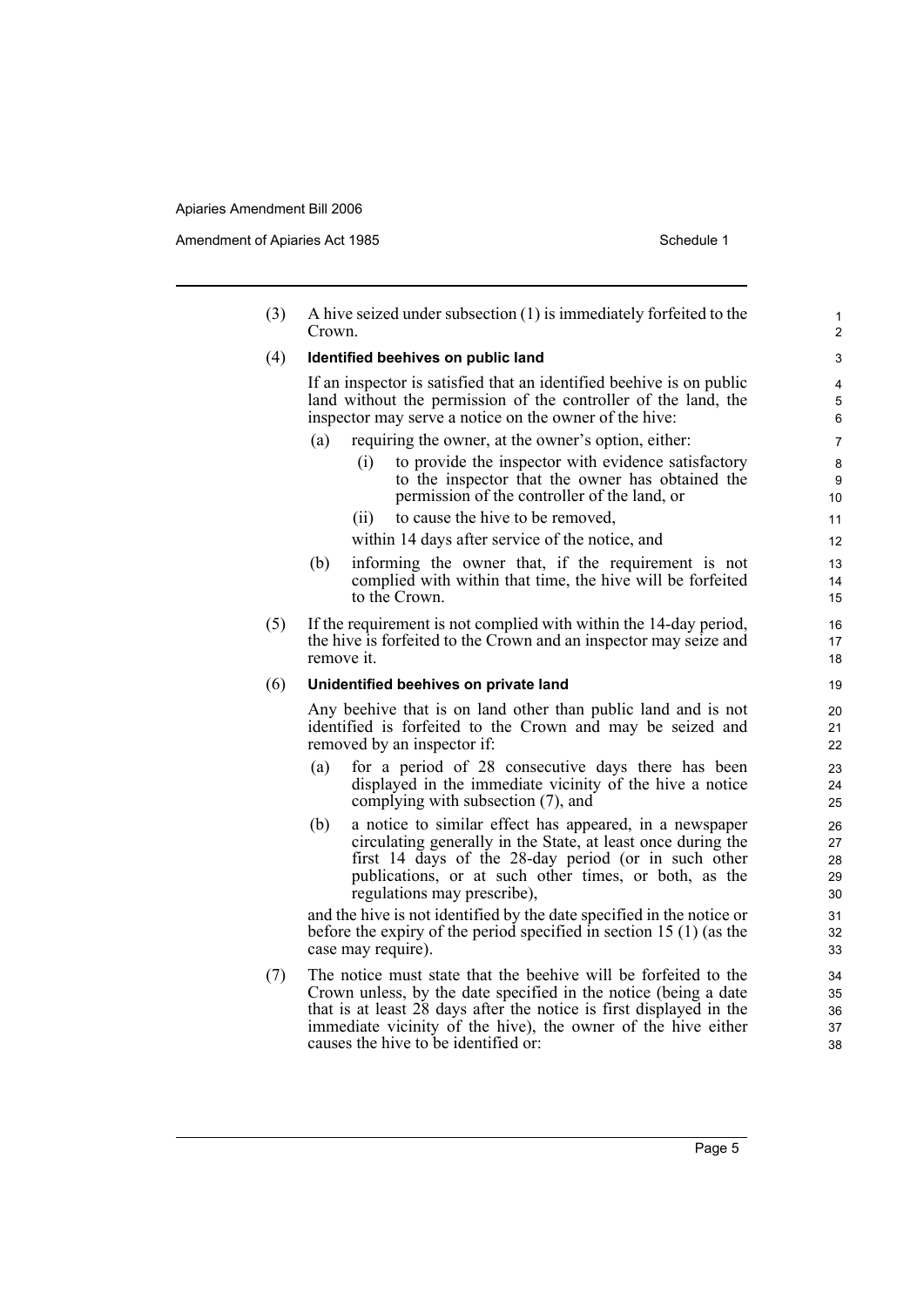| (3) | Crown. | A hive seized under subsection (1) is immediately forfeited to the                                                                                                                                                                                                                                                 | 1<br>$\overline{c}$        |  |  |  |
|-----|--------|--------------------------------------------------------------------------------------------------------------------------------------------------------------------------------------------------------------------------------------------------------------------------------------------------------------------|----------------------------|--|--|--|
| (4) |        | Identified beehives on public land                                                                                                                                                                                                                                                                                 | 3                          |  |  |  |
|     |        | If an inspector is satisfied that an identified beenive is on public<br>land without the permission of the controller of the land, the<br>inspector may serve a notice on the owner of the hive:                                                                                                                   |                            |  |  |  |
|     | (a)    | requiring the owner, at the owner's option, either:                                                                                                                                                                                                                                                                | $\overline{7}$             |  |  |  |
|     |        | to provide the inspector with evidence satisfactory<br>(i)<br>to the inspector that the owner has obtained the<br>permission of the controller of the land, or                                                                                                                                                     | 8<br>9<br>10               |  |  |  |
|     |        | to cause the hive to be removed,<br>(11)                                                                                                                                                                                                                                                                           | 11                         |  |  |  |
|     |        | within 14 days after service of the notice, and                                                                                                                                                                                                                                                                    | 12                         |  |  |  |
|     | (b)    | informing the owner that, if the requirement is not<br>complied with within that time, the hive will be forfeited<br>to the Crown.                                                                                                                                                                                 | 13<br>14<br>15             |  |  |  |
| (5) |        | If the requirement is not complied with within the 14-day period,<br>the hive is forfeited to the Crown and an inspector may seize and<br>remove it.                                                                                                                                                               | 16<br>17<br>18             |  |  |  |
| (6) |        | Unidentified beehives on private land                                                                                                                                                                                                                                                                              | 19                         |  |  |  |
|     |        | Any been ive that is on land other than public land and is not<br>identified is forfeited to the Crown and may be seized and<br>removed by an inspector if:                                                                                                                                                        | 20<br>21<br>22             |  |  |  |
|     | (a)    | for a period of 28 consecutive days there has been<br>displayed in the immediate vicinity of the hive a notice<br>complying with subsection (7), and                                                                                                                                                               | 23<br>24<br>25             |  |  |  |
|     | (b)    | a notice to similar effect has appeared, in a newspaper<br>circulating generally in the State, at least once during the<br>first 14 days of the 28-day period (or in such other<br>publications, or at such other times, or both, as the<br>regulations may prescribe),                                            | 26<br>27<br>28<br>29<br>30 |  |  |  |
|     |        | and the hive is not identified by the date specified in the notice or<br>before the expiry of the period specified in section 15 $(1)$ (as the<br>case may require).                                                                                                                                               | 31<br>32<br>33             |  |  |  |
| (7) |        | The notice must state that the beehive will be forfeited to the<br>Crown unless, by the date specified in the notice (being a date<br>that is at least 28 days after the notice is first displayed in the<br>immediate vicinity of the hive), the owner of the hive either<br>causes the hive to be identified or: | 34<br>35<br>36<br>37<br>38 |  |  |  |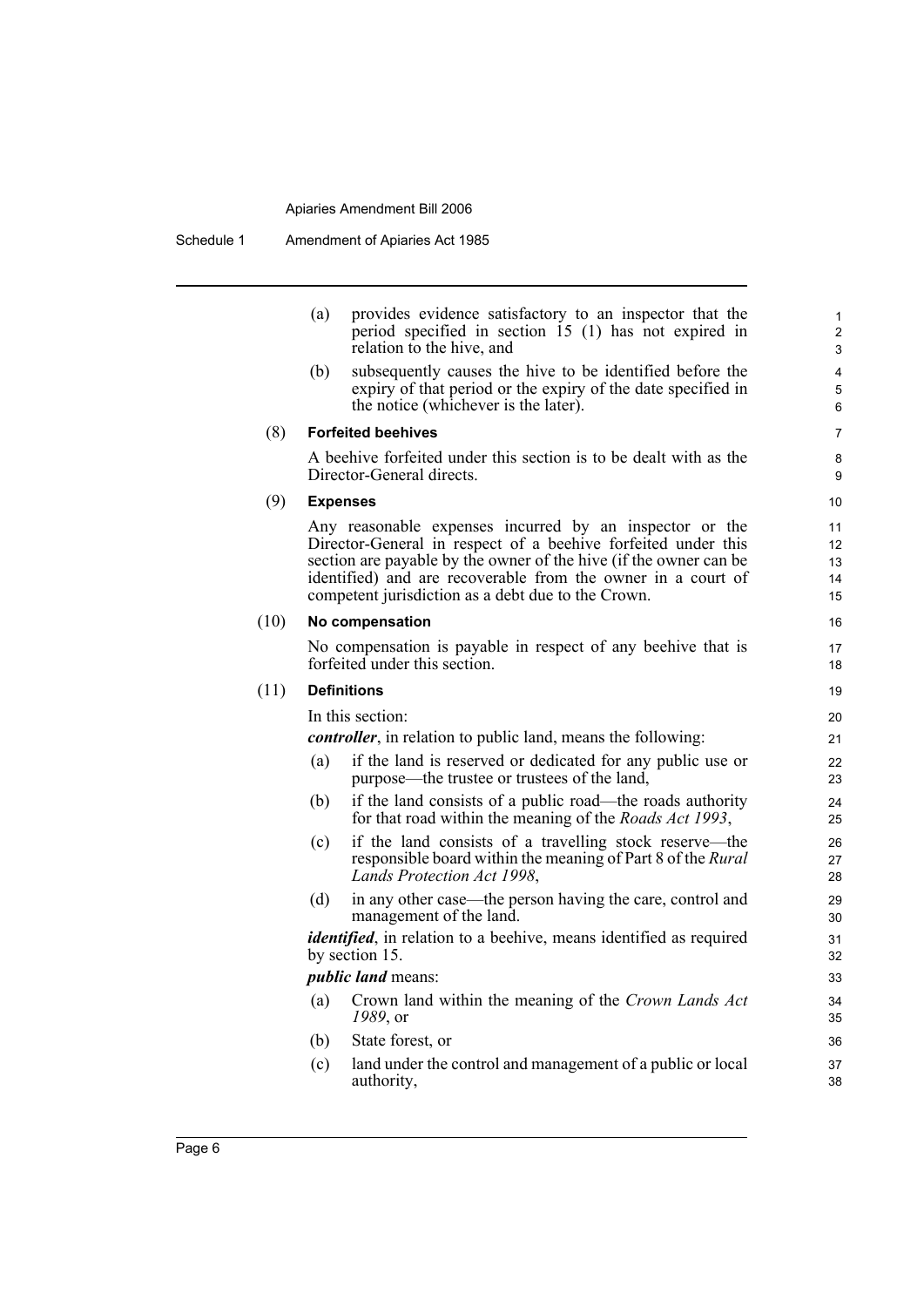| (a) | provides evidence satisfactory to an inspector that the |
|-----|---------------------------------------------------------|
|     | period specified in section 15 (1) has not expired in   |
|     | relation to the hive, and                               |

(b) subsequently causes the hive to be identified before the expiry of that period or the expiry of the date specified in the notice (whichever is the later).

#### (8) **Forfeited beehives**

A beehive forfeited under this section is to be dealt with as the Director-General directs.

(9) **Expenses**

Any reasonable expenses incurred by an inspector or the Director-General in respect of a beehive forfeited under this section are payable by the owner of the hive (if the owner can be identified) and are recoverable from the owner in a court of competent jurisdiction as a debt due to the Crown.

#### (10) **No compensation**

No compensation is payable in respect of any beehive that is forfeited under this section.

#### (11) **Definitions**

In this section:

*controller*, in relation to public land, means the following:

- (a) if the land is reserved or dedicated for any public use or purpose—the trustee or trustees of the land,
- (b) if the land consists of a public road—the roads authority for that road within the meaning of the *Roads Act 1993*,
- (c) if the land consists of a travelling stock reserve—the responsible board within the meaning of Part 8 of the *Rural Lands Protection Act 1998*,
- (d) in any other case—the person having the care, control and management of the land.

*identified*, in relation to a beehive, means identified as required by section 15.

*public land* means:

- (a) Crown land within the meaning of the *Crown Lands Act 1989*, or
- (b) State forest, or
- (c) land under the control and management of a public or local authority,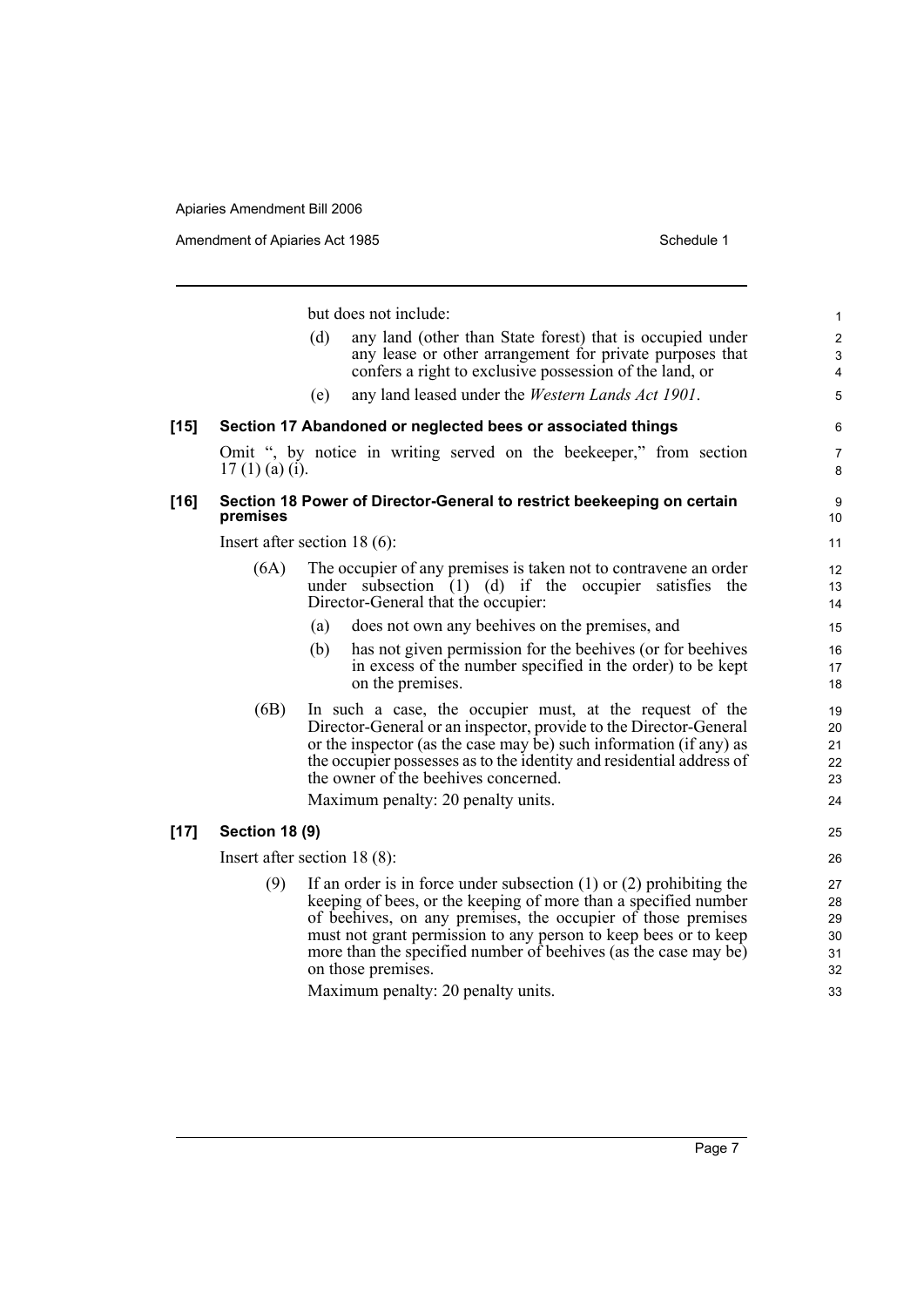|        |                       | but does not include:                                                                                                                                                                                                                                                                                                                                                                                        | 1                                      |
|--------|-----------------------|--------------------------------------------------------------------------------------------------------------------------------------------------------------------------------------------------------------------------------------------------------------------------------------------------------------------------------------------------------------------------------------------------------------|----------------------------------------|
|        |                       | (d)<br>any land (other than State forest) that is occupied under<br>any lease or other arrangement for private purposes that<br>confers a right to exclusive possession of the land, or                                                                                                                                                                                                                      | $\overline{c}$<br>$\mathbf{3}$<br>4    |
|        |                       | any land leased under the <i>Western Lands Act 1901</i> .<br>(e)                                                                                                                                                                                                                                                                                                                                             | 5                                      |
| $[15]$ |                       | Section 17 Abandoned or neglected bees or associated things                                                                                                                                                                                                                                                                                                                                                  | 6                                      |
|        | $17(1)$ (a) (i).      | Omit ", by notice in writing served on the beekeeper," from section                                                                                                                                                                                                                                                                                                                                          | $\overline{7}$<br>8                    |
| $[16]$ | premises              | Section 18 Power of Director-General to restrict beekeeping on certain                                                                                                                                                                                                                                                                                                                                       | 9<br>10                                |
|        |                       | Insert after section $18(6)$ :                                                                                                                                                                                                                                                                                                                                                                               | 11                                     |
|        | (6A)                  | The occupier of any premises is taken not to contravene an order<br>under subsection $(1)$ $(d)$ if the occupier satisfies the<br>Director-General that the occupier:                                                                                                                                                                                                                                        | 12<br>13<br>14                         |
|        |                       | does not own any beehives on the premises, and<br>(a)                                                                                                                                                                                                                                                                                                                                                        | 15                                     |
|        |                       | has not given permission for the beenives (or for beenives<br>(b)<br>in excess of the number specified in the order) to be kept<br>on the premises.                                                                                                                                                                                                                                                          | 16<br>17<br>18                         |
|        | (6B)                  | In such a case, the occupier must, at the request of the<br>Director-General or an inspector, provide to the Director-General<br>or the inspector (as the case may be) such information (if any) as<br>the occupier possesses as to the identity and residential address of<br>the owner of the beenives concerned.                                                                                          | 19<br>20<br>21<br>22<br>23             |
|        |                       | Maximum penalty: 20 penalty units.                                                                                                                                                                                                                                                                                                                                                                           | 24                                     |
| $[17]$ | <b>Section 18 (9)</b> |                                                                                                                                                                                                                                                                                                                                                                                                              | 25                                     |
|        |                       | Insert after section $18(8)$ :                                                                                                                                                                                                                                                                                                                                                                               | 26                                     |
|        | (9)                   | If an order is in force under subsection $(1)$ or $(2)$ prohibiting the<br>keeping of bees, or the keeping of more than a specified number<br>of beehives, on any premises, the occupier of those premises<br>must not grant permission to any person to keep bees or to keep<br>more than the specified number of beenives (as the case may be)<br>on those premises.<br>Maximum penalty: 20 penalty units. | 27<br>28<br>29<br>30<br>31<br>32<br>33 |
|        |                       |                                                                                                                                                                                                                                                                                                                                                                                                              |                                        |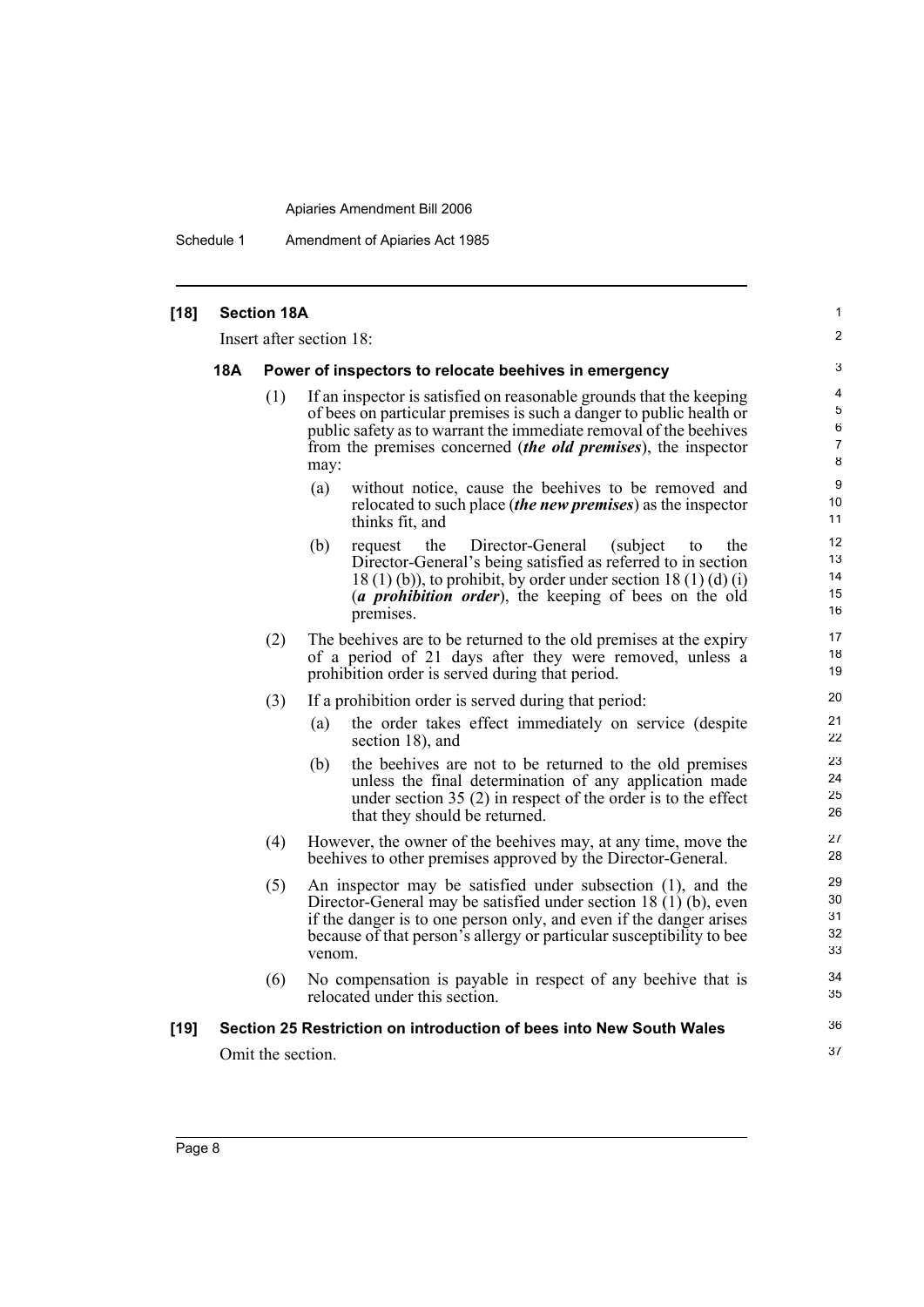Schedule 1 Amendment of Apiaries Act 1985

| $[18]$ |                                                                                                                                      | <b>Section 18A</b> |                                                                                                                                                                                                                                                                                                  |                            |  |  |
|--------|--------------------------------------------------------------------------------------------------------------------------------------|--------------------|--------------------------------------------------------------------------------------------------------------------------------------------------------------------------------------------------------------------------------------------------------------------------------------------------|----------------------------|--|--|
|        |                                                                                                                                      |                    | Insert after section 18:                                                                                                                                                                                                                                                                         |                            |  |  |
|        | <b>18A</b>                                                                                                                           |                    | Power of inspectors to relocate beehives in emergency                                                                                                                                                                                                                                            |                            |  |  |
|        |                                                                                                                                      | (1)                | If an inspector is satisfied on reasonable grounds that the keeping<br>of bees on particular premises is such a danger to public health or<br>public safety as to warrant the immediate removal of the beehives<br>from the premises concerned <i>(the old premises)</i> , the inspector<br>may: |                            |  |  |
|        |                                                                                                                                      |                    | without notice, cause the beehives to be removed and<br>(a)<br>relocated to such place <i>(the new premises)</i> as the inspector<br>thinks fit, and                                                                                                                                             | 9<br>10<br>11              |  |  |
|        |                                                                                                                                      |                    | the<br>Director-General<br>(b)<br>(subject)<br>the<br>request<br>to<br>Director-General's being satisfied as referred to in section<br>$18(1)(b)$ , to prohibit, by order under section $18(1)(d)(i)$<br>(a prohibition order), the keeping of bees on the old<br>premises.                      | 12<br>13<br>14<br>15<br>16 |  |  |
|        |                                                                                                                                      | (2)                | The beenives are to be returned to the old premises at the expiry<br>of a period of 21 days after they were removed, unless a<br>prohibition order is served during that period.                                                                                                                 |                            |  |  |
|        |                                                                                                                                      | (3)                | If a prohibition order is served during that period:                                                                                                                                                                                                                                             | 20                         |  |  |
|        |                                                                                                                                      |                    | the order takes effect immediately on service (despite<br>(a)<br>section 18), and                                                                                                                                                                                                                | 21<br>22                   |  |  |
|        |                                                                                                                                      |                    | the beenives are not to be returned to the old premises<br>(b)<br>unless the final determination of any application made<br>under section $35(2)$ in respect of the order is to the effect<br>that they should be returned.                                                                      | 23<br>24<br>25<br>26       |  |  |
|        | However, the owner of the beehives may, at any time, move the<br>(4)<br>beehives to other premises approved by the Director-General. |                    |                                                                                                                                                                                                                                                                                                  | 27<br>28                   |  |  |
|        |                                                                                                                                      | (5)                | An inspector may be satisfied under subsection (1), and the<br>Director-General may be satisfied under section 18 (1) (b), even<br>if the danger is to one person only, and even if the danger arises<br>because of that person's allergy or particular susceptibility to bee<br>venom.          | 29<br>30<br>31<br>32<br>33 |  |  |
|        |                                                                                                                                      | (6)                | No compensation is payable in respect of any beenive that is<br>relocated under this section.                                                                                                                                                                                                    | 34<br>35                   |  |  |
| $[19]$ |                                                                                                                                      |                    | Section 25 Restriction on introduction of bees into New South Wales                                                                                                                                                                                                                              | 36                         |  |  |
|        |                                                                                                                                      | Omit the section.  |                                                                                                                                                                                                                                                                                                  |                            |  |  |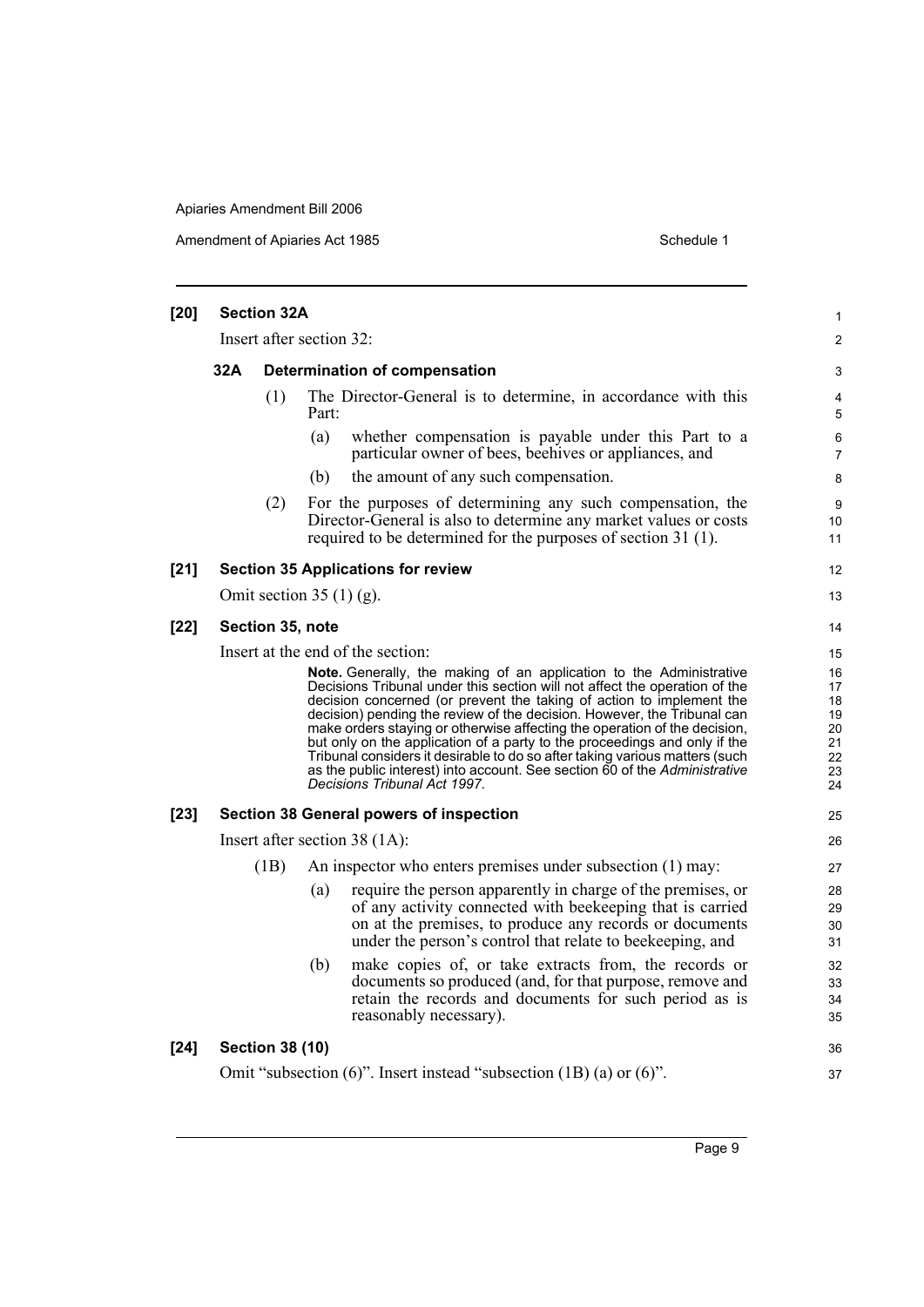| $[20]$ | <b>Section 32A</b>                          |                                   |                            |                                                                                                                                                                                                                                                                                                                                                                                                                                                                                                                                                                                                                                                                    | 1                                                  |  |  |
|--------|---------------------------------------------|-----------------------------------|----------------------------|--------------------------------------------------------------------------------------------------------------------------------------------------------------------------------------------------------------------------------------------------------------------------------------------------------------------------------------------------------------------------------------------------------------------------------------------------------------------------------------------------------------------------------------------------------------------------------------------------------------------------------------------------------------------|----------------------------------------------------|--|--|
|        |                                             |                                   | Insert after section 32:   |                                                                                                                                                                                                                                                                                                                                                                                                                                                                                                                                                                                                                                                                    | $\overline{c}$                                     |  |  |
|        | 32A<br><b>Determination of compensation</b> |                                   |                            |                                                                                                                                                                                                                                                                                                                                                                                                                                                                                                                                                                                                                                                                    |                                                    |  |  |
|        |                                             | (1)                               | Part:                      | The Director-General is to determine, in accordance with this                                                                                                                                                                                                                                                                                                                                                                                                                                                                                                                                                                                                      | 4<br>5                                             |  |  |
|        |                                             |                                   | (a)                        | whether compensation is payable under this Part to a<br>particular owner of bees, beehives or appliances, and                                                                                                                                                                                                                                                                                                                                                                                                                                                                                                                                                      | 6<br>7                                             |  |  |
|        |                                             |                                   | (b)                        | the amount of any such compensation.                                                                                                                                                                                                                                                                                                                                                                                                                                                                                                                                                                                                                               | 8                                                  |  |  |
|        |                                             | (2)                               |                            | For the purposes of determining any such compensation, the<br>Director-General is also to determine any market values or costs<br>required to be determined for the purposes of section 31 (1).                                                                                                                                                                                                                                                                                                                                                                                                                                                                    | 9<br>10<br>11                                      |  |  |
| $[21]$ |                                             |                                   |                            | <b>Section 35 Applications for review</b>                                                                                                                                                                                                                                                                                                                                                                                                                                                                                                                                                                                                                          | 12                                                 |  |  |
|        |                                             |                                   | Omit section 35 $(1)$ (g). |                                                                                                                                                                                                                                                                                                                                                                                                                                                                                                                                                                                                                                                                    | 13                                                 |  |  |
| $[22]$ |                                             | Section 35, note                  |                            |                                                                                                                                                                                                                                                                                                                                                                                                                                                                                                                                                                                                                                                                    | 14                                                 |  |  |
|        |                                             | Insert at the end of the section: |                            |                                                                                                                                                                                                                                                                                                                                                                                                                                                                                                                                                                                                                                                                    |                                                    |  |  |
|        |                                             |                                   |                            | <b>Note.</b> Generally, the making of an application to the Administrative<br>Decisions Tribunal under this section will not affect the operation of the<br>decision concerned (or prevent the taking of action to implement the<br>decision) pending the review of the decision. However, the Tribunal can<br>make orders staying or otherwise affecting the operation of the decision,<br>but only on the application of a party to the proceedings and only if the<br>Tribunal considers it desirable to do so after taking various matters (such<br>as the public interest) into account. See section 60 of the Administrative<br>Decisions Tribunal Act 1997. | 16<br>17<br>18<br>19<br>20<br>21<br>22<br>23<br>24 |  |  |
| $[23]$ |                                             |                                   |                            | Section 38 General powers of inspection                                                                                                                                                                                                                                                                                                                                                                                                                                                                                                                                                                                                                            | 25                                                 |  |  |
|        | Insert after section $38(1A)$ :             |                                   |                            |                                                                                                                                                                                                                                                                                                                                                                                                                                                                                                                                                                                                                                                                    |                                                    |  |  |
|        |                                             | (1B)                              |                            | An inspector who enters premises under subsection (1) may:                                                                                                                                                                                                                                                                                                                                                                                                                                                                                                                                                                                                         | 27                                                 |  |  |
|        |                                             |                                   | (a)                        | require the person apparently in charge of the premises, or<br>of any activity connected with beekeeping that is carried<br>on at the premises, to produce any records or documents<br>under the person's control that relate to beekeeping, and                                                                                                                                                                                                                                                                                                                                                                                                                   | 28<br>29<br>30<br>31                               |  |  |
|        |                                             |                                   | (b)                        | make copies of, or take extracts from, the records or<br>documents so produced (and, for that purpose, remove and<br>retain the records and documents for such period as is<br>reasonably necessary).                                                                                                                                                                                                                                                                                                                                                                                                                                                              | 32<br>33<br>34<br>35                               |  |  |
| $[24]$ |                                             | <b>Section 38 (10)</b>            |                            |                                                                                                                                                                                                                                                                                                                                                                                                                                                                                                                                                                                                                                                                    | 36                                                 |  |  |
|        |                                             |                                   |                            | Omit "subsection $(6)$ ". Insert instead "subsection $(1B)$ $(a)$ or $(6)$ ".                                                                                                                                                                                                                                                                                                                                                                                                                                                                                                                                                                                      | 37                                                 |  |  |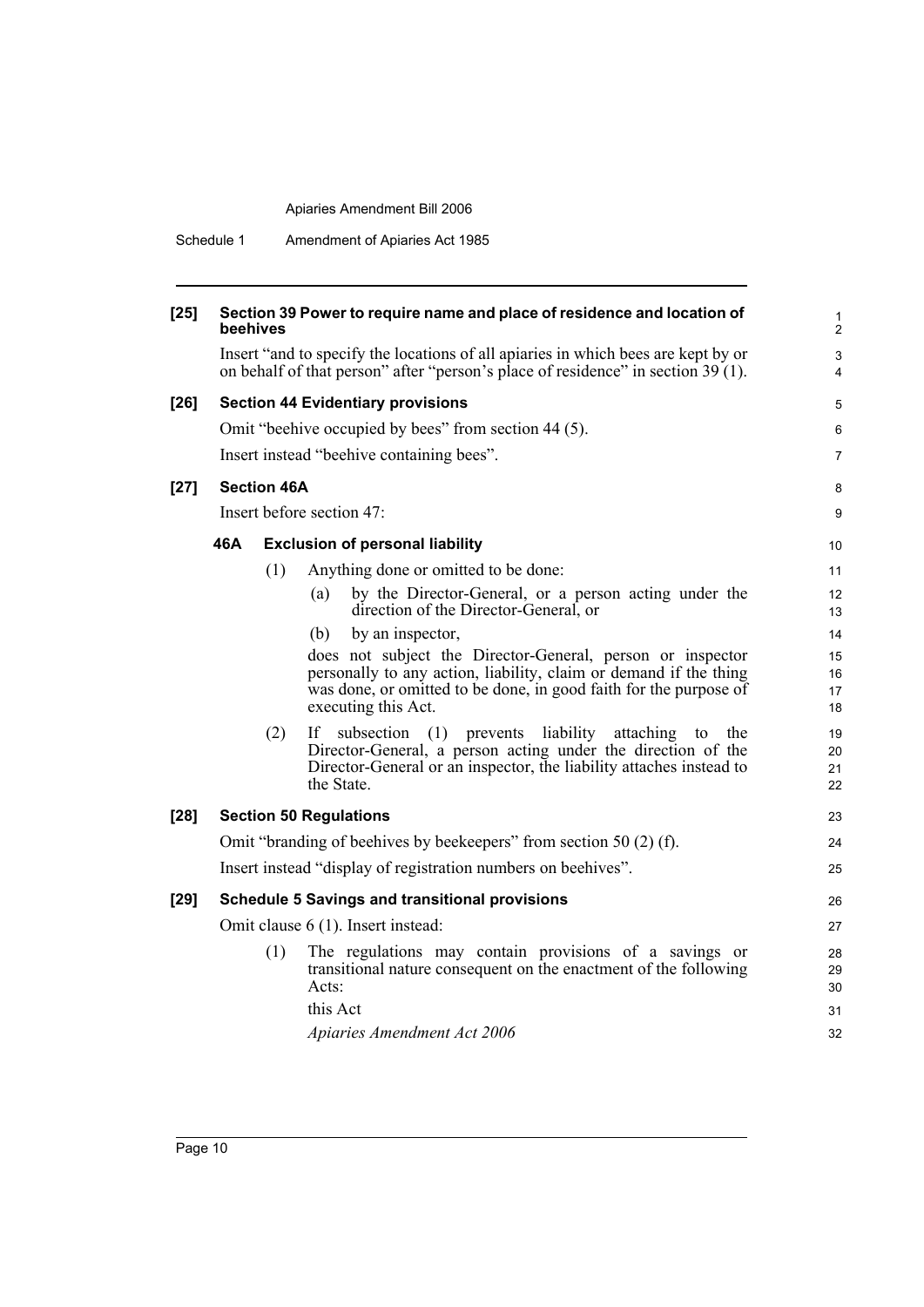| $[25]$ | Section 39 Power to require name and place of residence and location of<br>beehives |                    |                                                                                                                                                                                                                             |                      |
|--------|-------------------------------------------------------------------------------------|--------------------|-----------------------------------------------------------------------------------------------------------------------------------------------------------------------------------------------------------------------------|----------------------|
|        |                                                                                     |                    | Insert "and to specify the locations of all apiaries in which bees are kept by or<br>on behalf of that person" after "person's place of residence" in section 39 (1).                                                       | 3<br>4               |
| $[26]$ |                                                                                     |                    | <b>Section 44 Evidentiary provisions</b>                                                                                                                                                                                    | 5                    |
|        |                                                                                     |                    | Omit "beehive occupied by bees" from section 44 (5).                                                                                                                                                                        | 6                    |
|        |                                                                                     |                    | Insert instead "beehive containing bees".                                                                                                                                                                                   | 7                    |
| $[27]$ |                                                                                     | <b>Section 46A</b> |                                                                                                                                                                                                                             | 8                    |
|        |                                                                                     |                    | Insert before section 47:                                                                                                                                                                                                   | 9                    |
|        | 46A                                                                                 |                    | <b>Exclusion of personal liability</b>                                                                                                                                                                                      | 10                   |
|        |                                                                                     | (1)                | Anything done or omitted to be done:                                                                                                                                                                                        | 11                   |
|        |                                                                                     |                    | by the Director-General, or a person acting under the<br>(a)<br>direction of the Director-General, or                                                                                                                       | 12<br>13             |
|        |                                                                                     |                    | (b)<br>by an inspector,                                                                                                                                                                                                     | 14                   |
|        |                                                                                     |                    | does not subject the Director-General, person or inspector<br>personally to any action, liability, claim or demand if the thing<br>was done, or omitted to be done, in good faith for the purpose of<br>executing this Act. | 15<br>16<br>17<br>18 |
|        |                                                                                     | (2)                | If subsection (1) prevents liability<br>attaching<br>to<br>the<br>Director-General, a person acting under the direction of the<br>Director-General or an inspector, the liability attaches instead to<br>the State.         | 19<br>20<br>21<br>22 |
| $[28]$ |                                                                                     |                    | <b>Section 50 Regulations</b>                                                                                                                                                                                               | 23                   |
|        |                                                                                     |                    | Omit "branding of beehives by beekeepers" from section 50 (2) (f).                                                                                                                                                          | 24                   |
|        |                                                                                     |                    | Insert instead "display of registration numbers on beehives".                                                                                                                                                               | 25                   |
| $[29]$ |                                                                                     |                    | <b>Schedule 5 Savings and transitional provisions</b>                                                                                                                                                                       | 26                   |
|        |                                                                                     |                    | Omit clause 6 (1). Insert instead:                                                                                                                                                                                          | 27                   |
|        |                                                                                     | (1)                | The regulations may contain provisions of a savings or<br>transitional nature consequent on the enactment of the following<br>Acts:                                                                                         | 28<br>29<br>30       |
|        |                                                                                     |                    | this Act                                                                                                                                                                                                                    | 31                   |
|        |                                                                                     |                    | Apiaries Amendment Act 2006                                                                                                                                                                                                 | 32                   |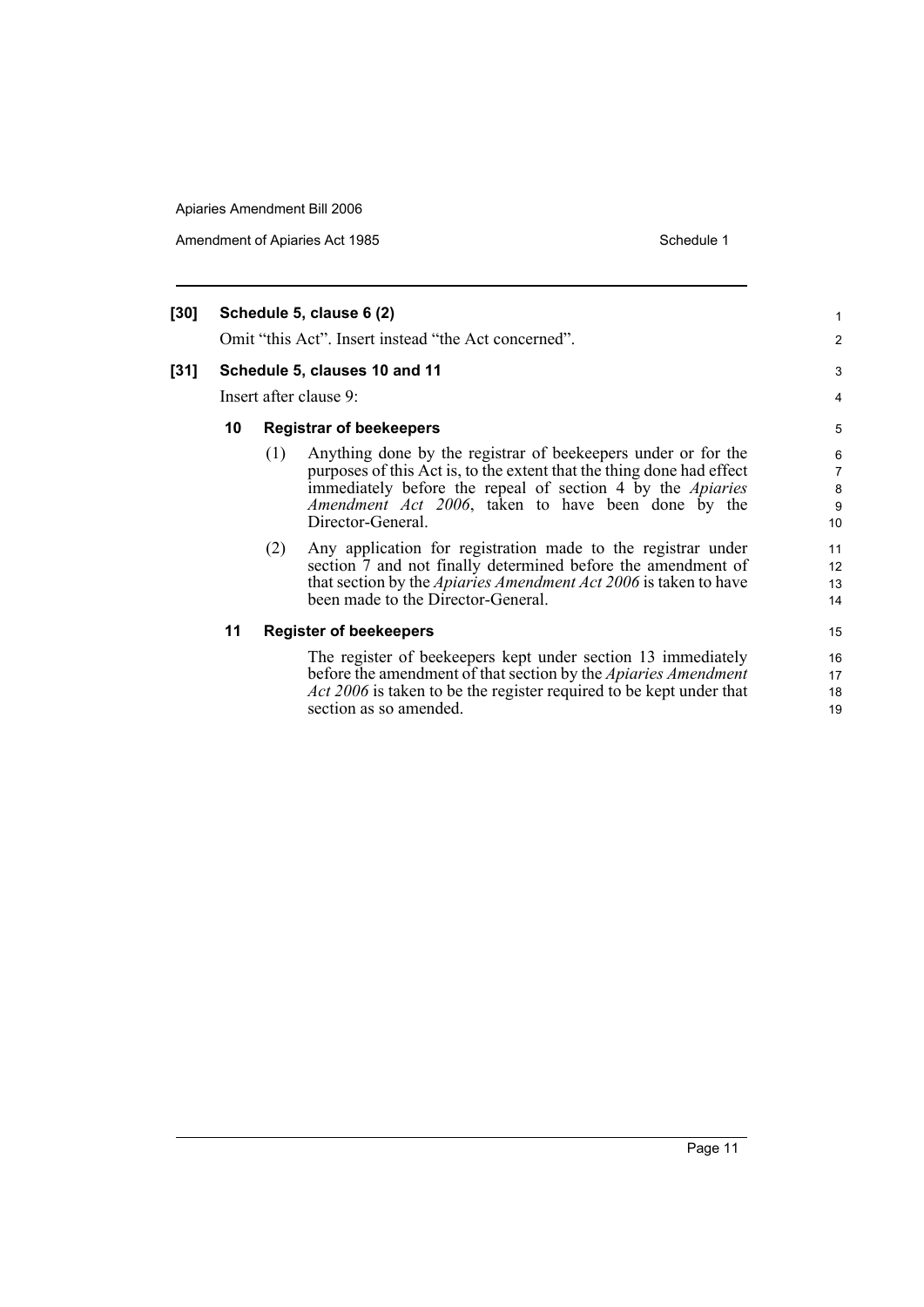| $[30]$ |                        |     | Schedule 5, clause 6 (2)                                                                                                                                                                                                                                                                       | 1                                         |
|--------|------------------------|-----|------------------------------------------------------------------------------------------------------------------------------------------------------------------------------------------------------------------------------------------------------------------------------------------------|-------------------------------------------|
|        |                        |     | Omit "this Act". Insert instead "the Act concerned".                                                                                                                                                                                                                                           | 2                                         |
| $[31]$ |                        |     | Schedule 5, clauses 10 and 11                                                                                                                                                                                                                                                                  | 3                                         |
|        | Insert after clause 9: |     |                                                                                                                                                                                                                                                                                                | $\overline{4}$                            |
|        | 10                     |     | <b>Registrar of beekeepers</b>                                                                                                                                                                                                                                                                 | 5                                         |
|        |                        | (1) | Anything done by the registrar of beekeepers under or for the<br>purposes of this Act is, to the extent that the thing done had effect<br>immediately before the repeal of section 4 by the <i>Apiaries</i><br><i>Amendment Act 2006</i> , taken to have been done by the<br>Director-General. | 6<br>$\overline{7}$<br>$\bf 8$<br>9<br>10 |
|        |                        | (2) | Any application for registration made to the registrar under<br>section 7 and not finally determined before the amendment of<br>that section by the <i>Apiaries Amendment Act 2006</i> is taken to have<br>been made to the Director-General.                                                  | 11<br>12<br>13<br>14                      |
|        | 11                     |     | <b>Register of beekeepers</b>                                                                                                                                                                                                                                                                  | 15                                        |
|        |                        |     | The register of beekeepers kept under section 13 immediately<br>before the amendment of that section by the <i>Apiaries Amendment</i><br><i>Act 2006</i> is taken to be the register required to be kept under that<br>section as so amended.                                                  | 16<br>17<br>18<br>19                      |
|        |                        |     |                                                                                                                                                                                                                                                                                                |                                           |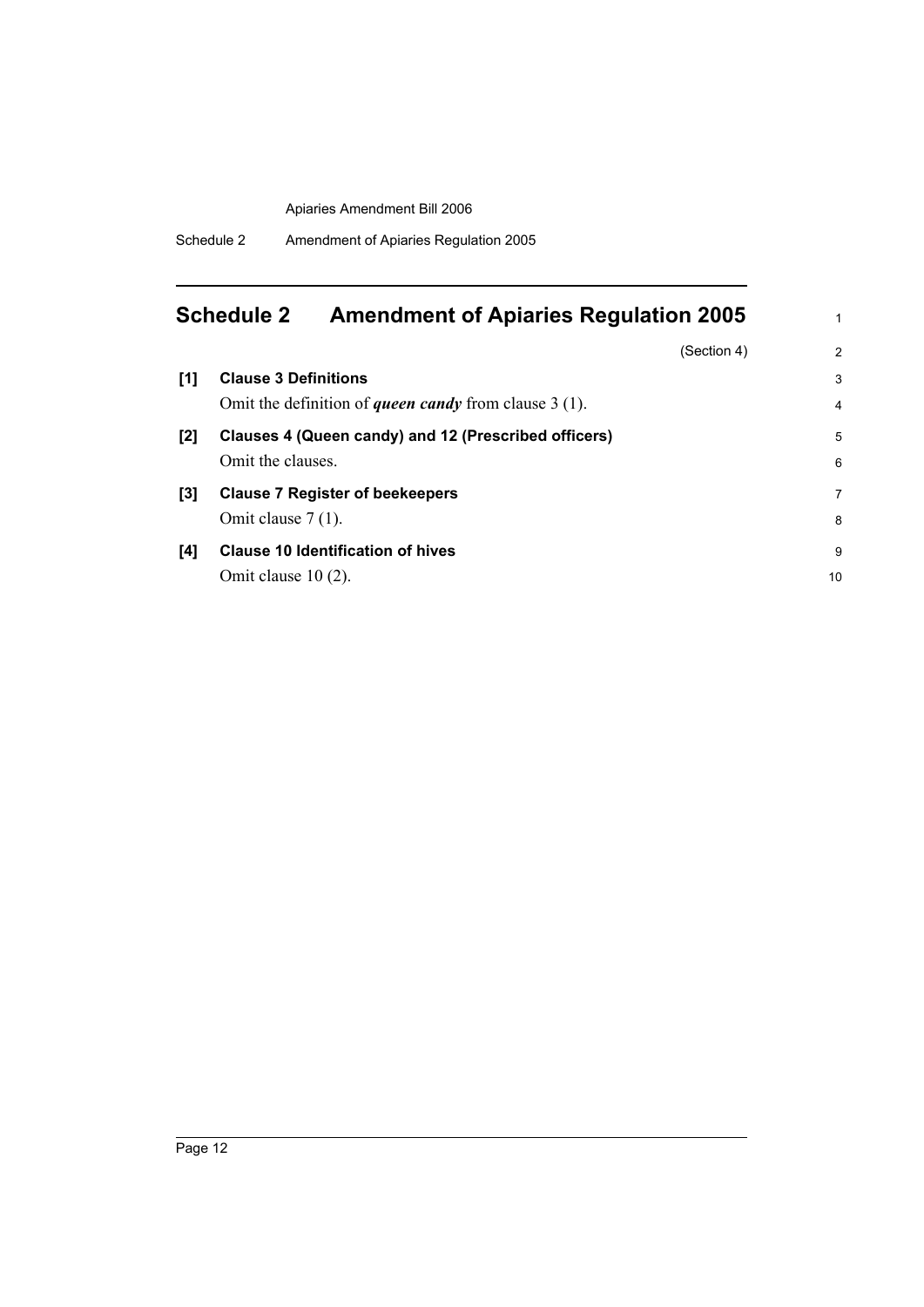## <span id="page-19-0"></span>**Schedule 2 Amendment of Apiaries Regulation 2005**

(Section 4)

1

2

| [1] | <b>Clause 3 Definitions</b>                                    | 3  |
|-----|----------------------------------------------------------------|----|
|     | Omit the definition of <i>queen candy</i> from clause $3(1)$ . | 4  |
| [2] | Clauses 4 (Queen candy) and 12 (Prescribed officers)           | 5  |
|     | Omit the clauses.                                              | 6  |
| [3] | <b>Clause 7 Register of beekeepers</b>                         | 7  |
|     | Omit clause $7(1)$ .                                           | 8  |
| [4] | <b>Clause 10 Identification of hives</b>                       | 9  |
|     | Omit clause $10(2)$ .                                          | 10 |